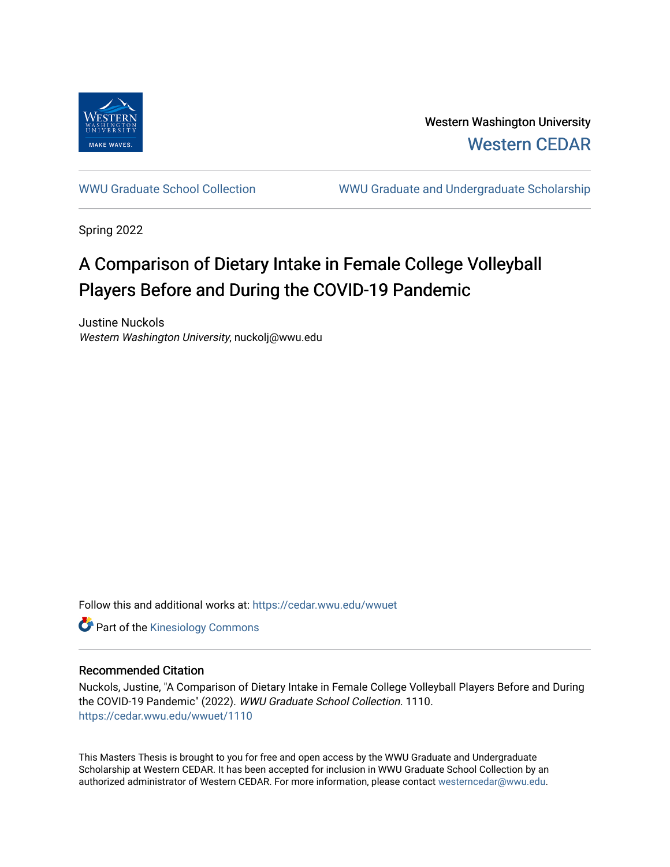

Western Washington University [Western CEDAR](https://cedar.wwu.edu/) 

[WWU Graduate School Collection](https://cedar.wwu.edu/wwuet) WWU Graduate and Undergraduate Scholarship

Spring 2022

# A Comparison of Dietary Intake in Female College Volleyball Players Before and During the COVID-19 Pandemic

Justine Nuckols Western Washington University, nuckolj@wwu.edu

Follow this and additional works at: [https://cedar.wwu.edu/wwuet](https://cedar.wwu.edu/wwuet?utm_source=cedar.wwu.edu%2Fwwuet%2F1110&utm_medium=PDF&utm_campaign=PDFCoverPages)

**Part of the Kinesiology Commons** 

#### Recommended Citation

Nuckols, Justine, "A Comparison of Dietary Intake in Female College Volleyball Players Before and During the COVID-19 Pandemic" (2022). WWU Graduate School Collection. 1110. [https://cedar.wwu.edu/wwuet/1110](https://cedar.wwu.edu/wwuet/1110?utm_source=cedar.wwu.edu%2Fwwuet%2F1110&utm_medium=PDF&utm_campaign=PDFCoverPages) 

This Masters Thesis is brought to you for free and open access by the WWU Graduate and Undergraduate Scholarship at Western CEDAR. It has been accepted for inclusion in WWU Graduate School Collection by an authorized administrator of Western CEDAR. For more information, please contact [westerncedar@wwu.edu.](mailto:westerncedar@wwu.edu)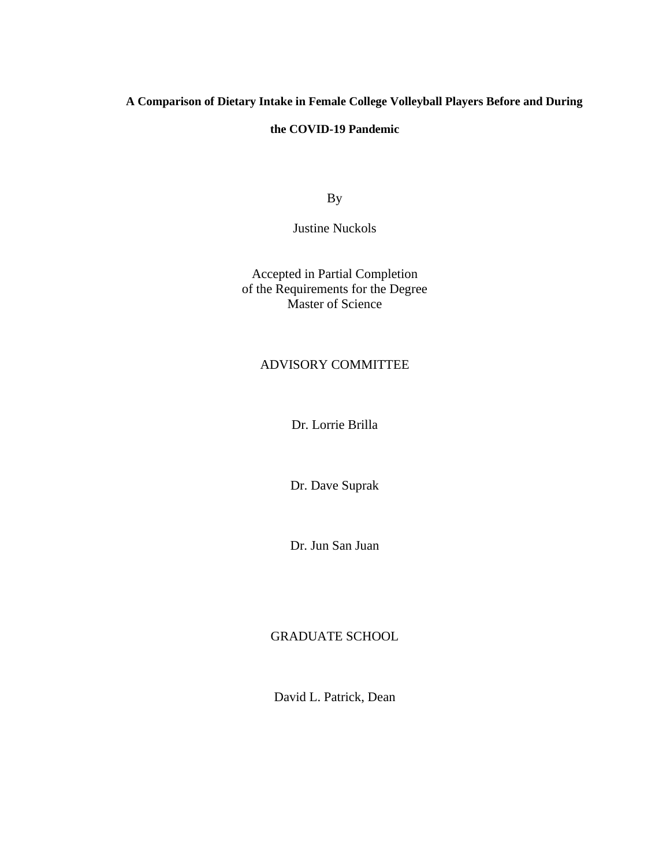# **A Comparison of Dietary Intake in Female College Volleyball Players Before and During**

### **the COVID-19 Pandemic**

By

Justine Nuckols

Accepted in Partial Completion of the Requirements for the Degree Master of Science

# ADVISORY COMMITTEE

Dr. Lorrie Brilla

Dr. Dave Suprak

Dr. Jun San Juan

## GRADUATE SCHOOL

David L. Patrick, Dean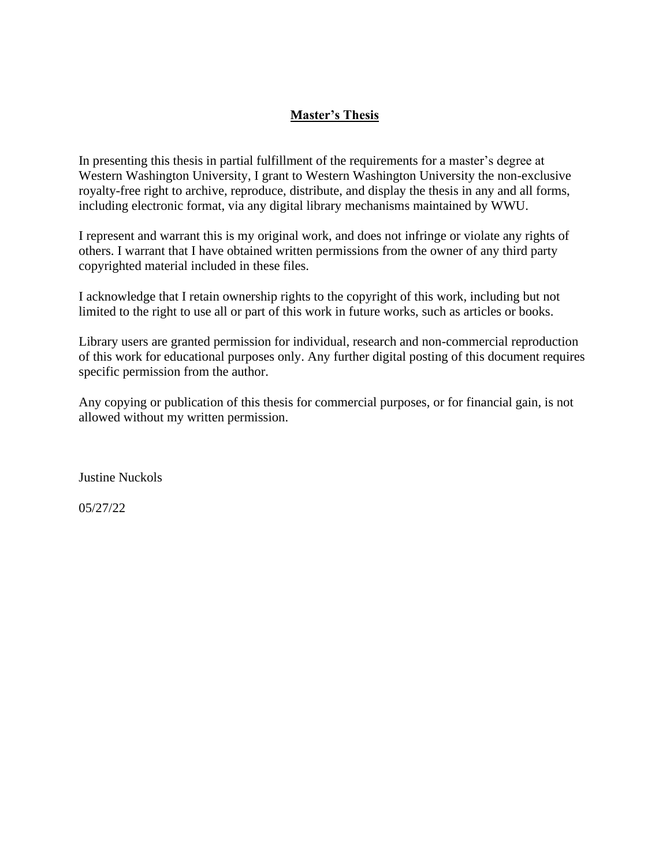# **Master's Thesis**

In presenting this thesis in partial fulfillment of the requirements for a master's degree at Western Washington University, I grant to Western Washington University the non-exclusive royalty-free right to archive, reproduce, distribute, and display the thesis in any and all forms, including electronic format, via any digital library mechanisms maintained by WWU.

I represent and warrant this is my original work, and does not infringe or violate any rights of others. I warrant that I have obtained written permissions from the owner of any third party copyrighted material included in these files.

I acknowledge that I retain ownership rights to the copyright of this work, including but not limited to the right to use all or part of this work in future works, such as articles or books.

Library users are granted permission for individual, research and non-commercial reproduction of this work for educational purposes only. Any further digital posting of this document requires specific permission from the author.

Any copying or publication of this thesis for commercial purposes, or for financial gain, is not allowed without my written permission.

Justine Nuckols

05/27/22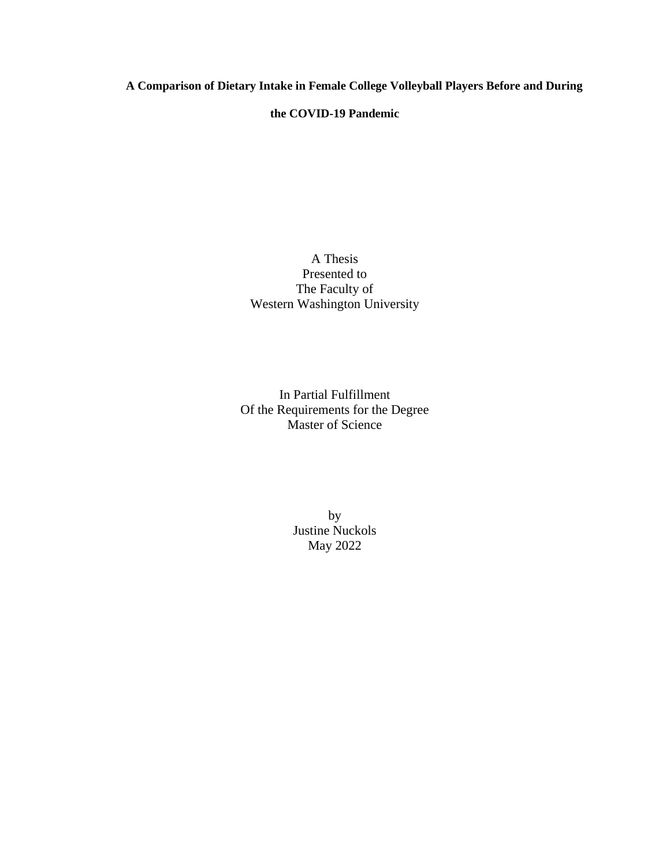**A Comparison of Dietary Intake in Female College Volleyball Players Before and During** 

**the COVID-19 Pandemic**

A Thesis Presented to The Faculty of Western Washington University

In Partial Fulfillment Of the Requirements for the Degree Master of Science

> by Justine Nuckols May 2022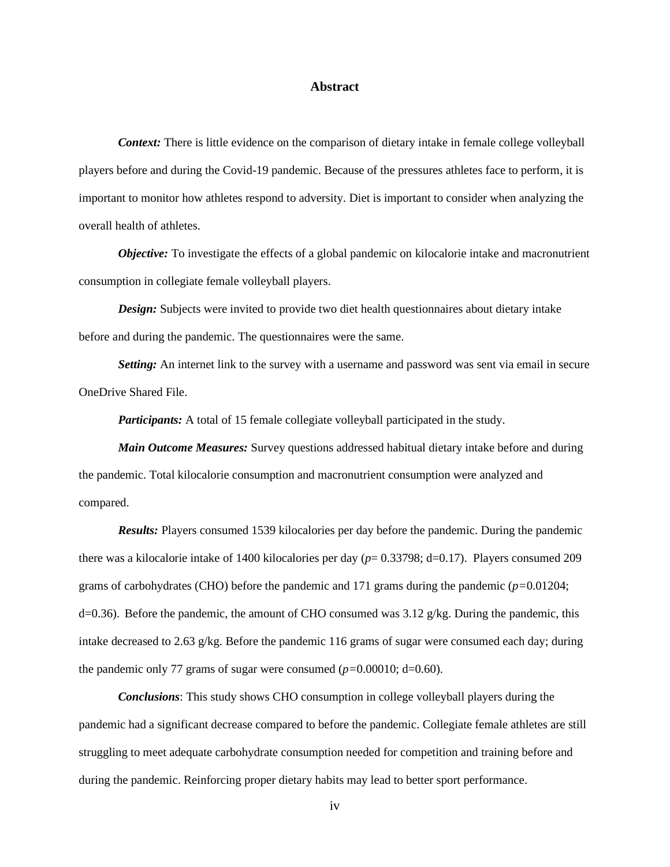#### **Abstract**

*Context:* There is little evidence on the comparison of dietary intake in female college volleyball players before and during the Covid-19 pandemic. Because of the pressures athletes face to perform, it is important to monitor how athletes respond to adversity. Diet is important to consider when analyzing the overall health of athletes.

*Objective:* To investigate the effects of a global pandemic on kilocalorie intake and macronutrient consumption in collegiate female volleyball players.

*Design:* Subjects were invited to provide two diet health questionnaires about dietary intake before and during the pandemic. The questionnaires were the same.

*Setting:* An internet link to the survey with a username and password was sent via email in secure OneDrive Shared File.

*Participants:* A total of 15 female collegiate volleyball participated in the study.

*Main Outcome Measures:* Survey questions addressed habitual dietary intake before and during the pandemic. Total kilocalorie consumption and macronutrient consumption were analyzed and compared.

*Results:* Players consumed 1539 kilocalories per day before the pandemic. During the pandemic there was a kilocalorie intake of 1400 kilocalories per day (*p*= 0.33798; d=0.17). Players consumed 209 grams of carbohydrates (CHO) before the pandemic and 171 grams during the pandemic (*p=*0.01204;  $d=0.36$ ). Before the pandemic, the amount of CHO consumed was 3.12 g/kg. During the pandemic, this intake decreased to 2.63 g/kg. Before the pandemic 116 grams of sugar were consumed each day; during the pandemic only 77 grams of sugar were consumed  $(p=0.00010; d=0.60)$ .

*Conclusions*: This study shows CHO consumption in college volleyball players during the pandemic had a significant decrease compared to before the pandemic. Collegiate female athletes are still struggling to meet adequate carbohydrate consumption needed for competition and training before and during the pandemic. Reinforcing proper dietary habits may lead to better sport performance.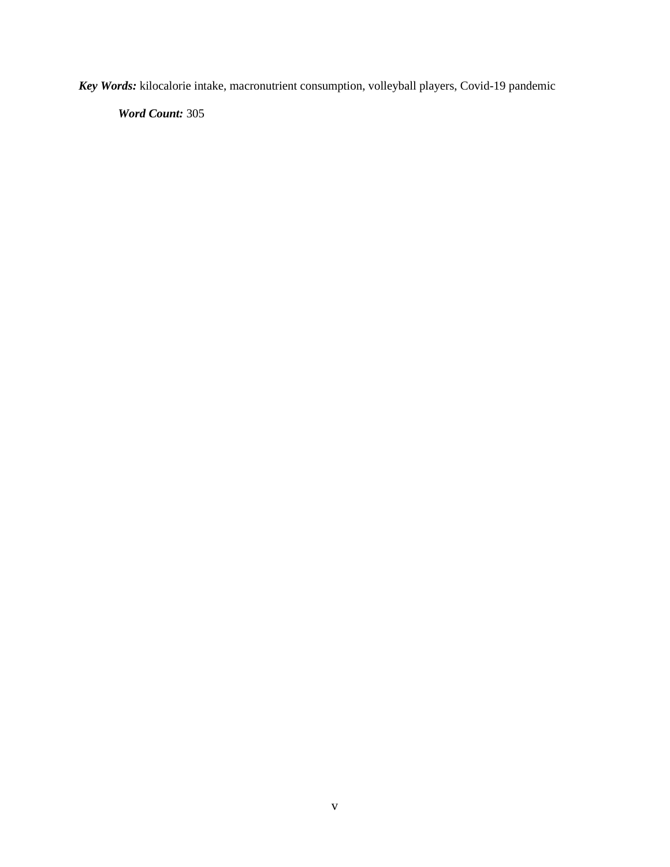*Key Words:* kilocalorie intake, macronutrient consumption, volleyball players, Covid-19 pandemic

*Word Count:* 305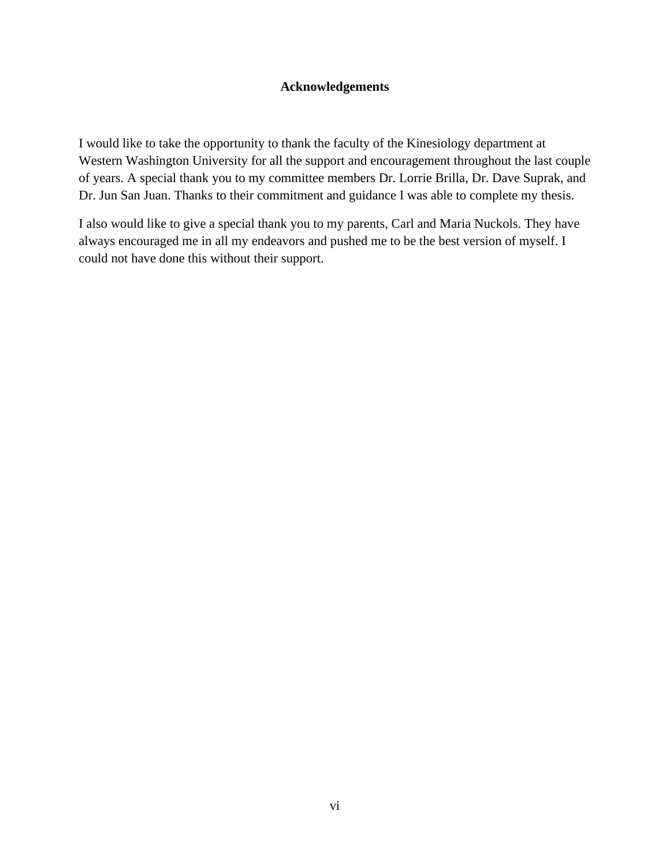## **Acknowledgements**

I would like to take the opportunity to thank the faculty of the Kinesiology department at Western Washington University for all the support and encouragement throughout the last couple of years. A special thank you to my committee members Dr. Lorrie Brilla, Dr. Dave Suprak, and Dr. Jun San Juan. Thanks to their commitment and guidance I was able to complete my thesis.

I also would like to give a special thank you to my parents, Carl and Maria Nuckols. They have always encouraged me in all my endeavors and pushed me to be the best version of myself. I could not have done this without their support.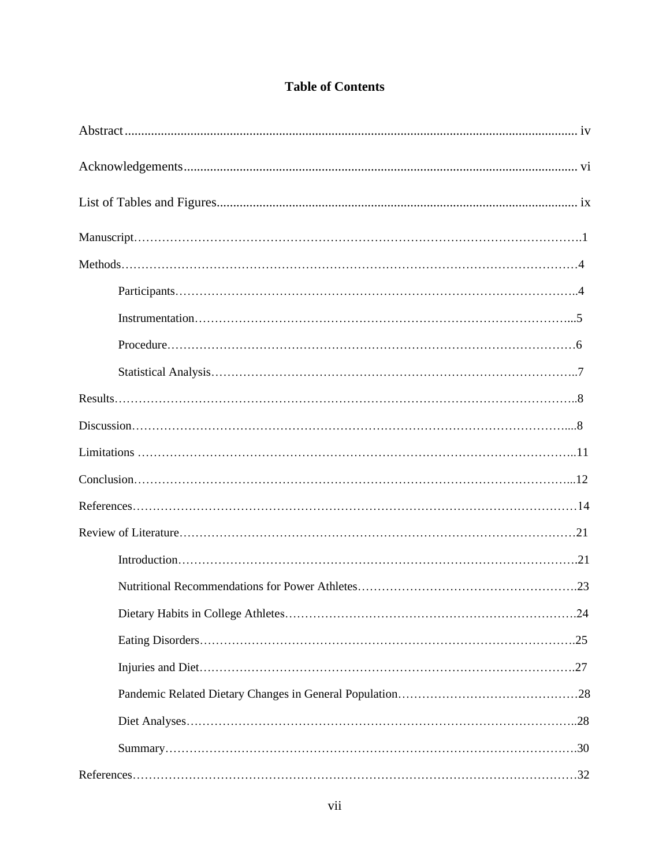# **Table of Contents**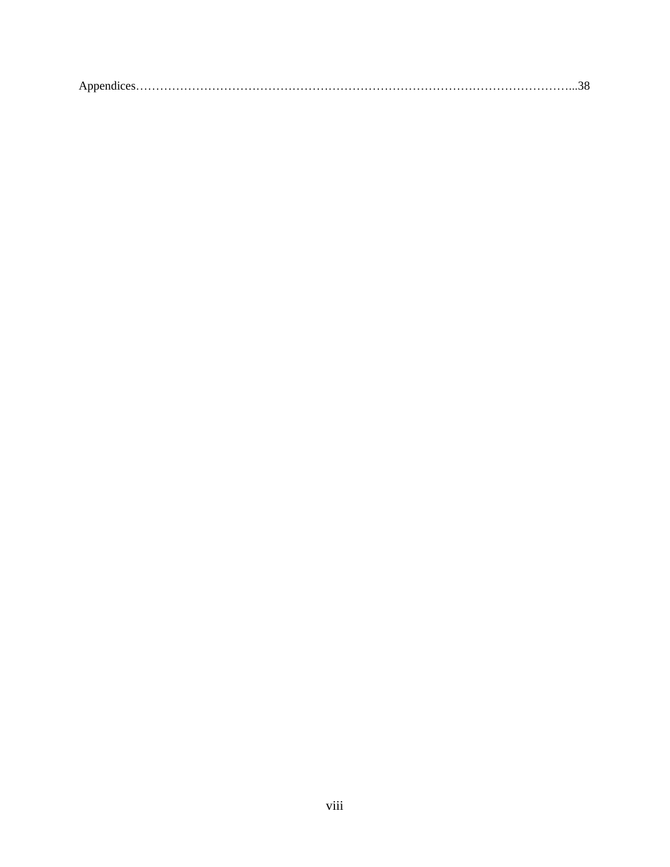|--|--|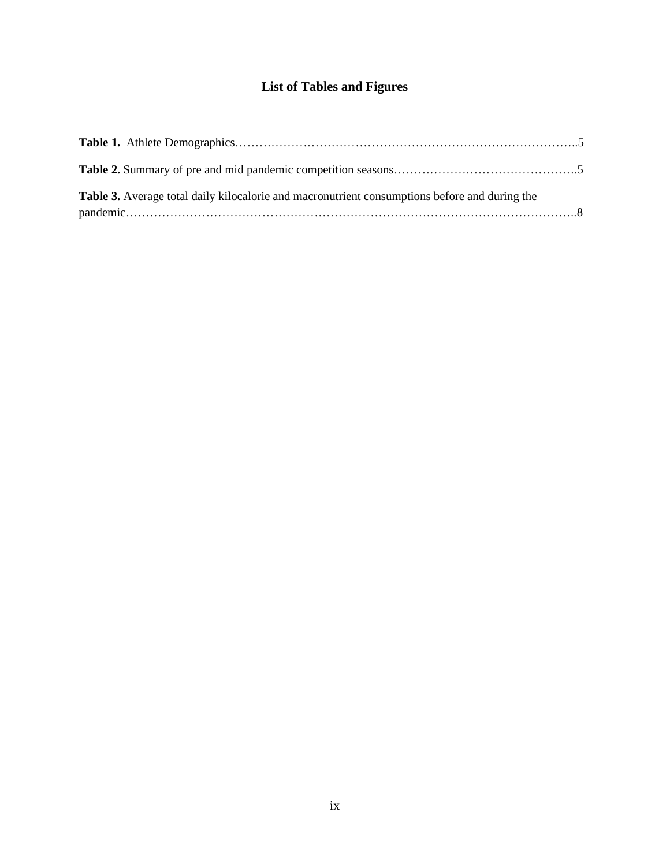# **List of Tables and Figures**

| <b>Table 3.</b> Average total daily kilocalorie and macronutrient consumptions before and during the |  |
|------------------------------------------------------------------------------------------------------|--|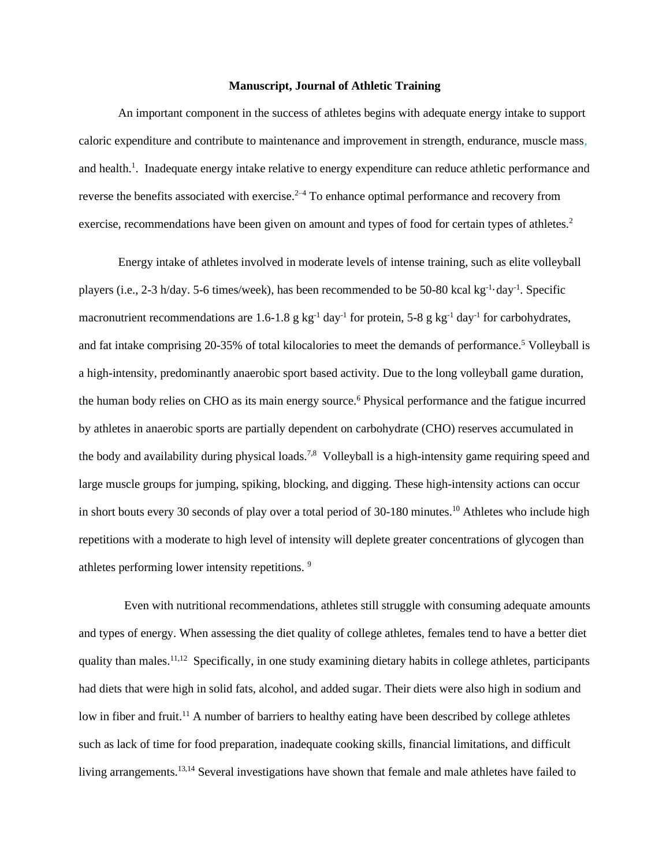#### **Manuscript, Journal of Athletic Training**

An important component in the success of athletes begins with adequate energy intake to support caloric expenditure and contribute to maintenance and improvement in strength, endurance, muscle mass, and health.<sup>1</sup>. Inadequate energy intake relative to energy expenditure can reduce athletic performance and reverse the benefits associated with exercise.<sup>2-4</sup> To enhance optimal performance and recovery from exercise, recommendations have been given on amount and types of food for certain types of athletes.<sup>2</sup>

Energy intake of athletes involved in moderate levels of intense training, such as elite volleyball players (i.e., 2-3 h/day. 5-6 times/week), has been recommended to be 50-80 kcal kg<sup>-1</sup> day<sup>-1</sup>. Specific macronutrient recommendations are 1.6-1.8 g  $kg^{-1}$  day<sup>-1</sup> for protein, 5-8 g  $kg^{-1}$  day<sup>-1</sup> for carbohydrates, and fat intake comprising 20-35% of total kilocalories to meet the demands of performance.<sup>5</sup> Volleyball is a high-intensity, predominantly anaerobic sport based activity. Due to the long volleyball game duration, the human body relies on CHO as its main energy source.<sup>6</sup> Physical performance and the fatigue incurred by athletes in anaerobic sports are partially dependent on carbohydrate (CHO) reserves accumulated in the body and availability during physical loads.<sup>7,8</sup> Volleyball is a high-intensity game requiring speed and large muscle groups for jumping, spiking, blocking, and digging. These high-intensity actions can occur in short bouts every 30 seconds of play over a total period of 30-180 minutes.<sup>10</sup> Athletes who include high repetitions with a moderate to high level of intensity will deplete greater concentrations of glycogen than athletes performing lower intensity repetitions. 9

Even with nutritional recommendations, athletes still struggle with consuming adequate amounts and types of energy. When assessing the diet quality of college athletes, females tend to have a better diet quality than males.<sup>11,12</sup> Specifically, in one study examining dietary habits in college athletes, participants had diets that were high in solid fats, alcohol, and added sugar. Their diets were also high in sodium and low in fiber and fruit.<sup>11</sup> A number of barriers to healthy eating have been described by college athletes such as lack of time for food preparation, inadequate cooking skills, financial limitations, and difficult living arrangements.<sup>13,14</sup> Several investigations have shown that female and male athletes have failed to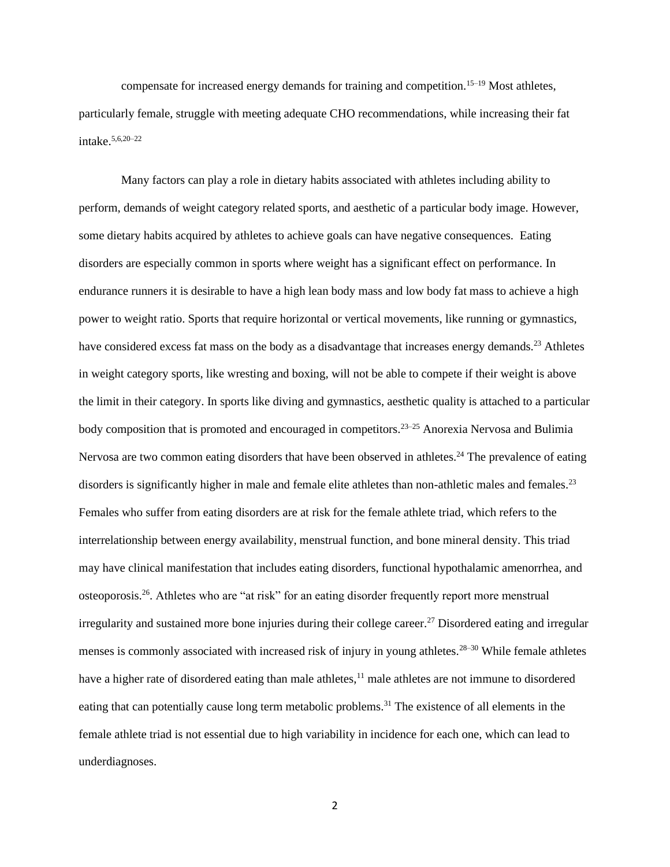compensate for increased energy demands for training and competition.<sup>15–19</sup> Most athletes, particularly female, struggle with meeting adequate CHO recommendations, while increasing their fat intake.  $5,6,20-22$ 

Many factors can play a role in dietary habits associated with athletes including ability to perform, demands of weight category related sports, and aesthetic of a particular body image. However, some dietary habits acquired by athletes to achieve goals can have negative consequences. Eating disorders are especially common in sports where weight has a significant effect on performance. In endurance runners it is desirable to have a high lean body mass and low body fat mass to achieve a high power to weight ratio. Sports that require horizontal or vertical movements, like running or gymnastics, have considered excess fat mass on the body as a disadvantage that increases energy demands.<sup>23</sup> Athletes in weight category sports, like wresting and boxing, will not be able to compete if their weight is above the limit in their category. In sports like diving and gymnastics, aesthetic quality is attached to a particular body composition that is promoted and encouraged in competitors.<sup>23–25</sup> Anorexia Nervosa and Bulimia Nervosa are two common eating disorders that have been observed in athletes.<sup>24</sup> The prevalence of eating disorders is significantly higher in male and female elite athletes than non-athletic males and females.<sup>23</sup> Females who suffer from eating disorders are at risk for the female athlete triad, which refers to the interrelationship between energy availability, menstrual function, and bone mineral density. This triad may have clinical manifestation that includes eating disorders, functional hypothalamic amenorrhea, and osteoporosis.<sup>26</sup>. Athletes who are "at risk" for an eating disorder frequently report more menstrual irregularity and sustained more bone injuries during their college career.<sup>27</sup> Disordered eating and irregular menses is commonly associated with increased risk of injury in young athletes.<sup>28–30</sup> While female athletes have a higher rate of disordered eating than male athletes,  $11$  male athletes are not immune to disordered eating that can potentially cause long term metabolic problems.<sup>31</sup> The existence of all elements in the female athlete triad is not essential due to high variability in incidence for each one, which can lead to underdiagnoses.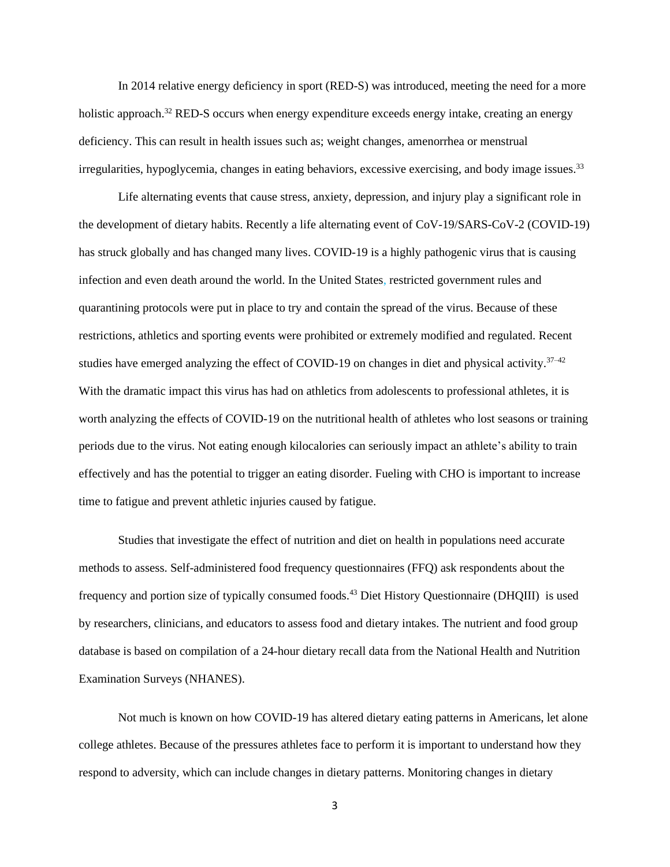In 2014 relative energy deficiency in sport (RED-S) was introduced, meeting the need for a more holistic approach.<sup>32</sup> RED-S occurs when energy expenditure exceeds energy intake, creating an energy deficiency. This can result in health issues such as; weight changes, amenorrhea or menstrual irregularities, hypoglycemia, changes in eating behaviors, excessive exercising, and body image issues.<sup>33</sup>

Life alternating events that cause stress, anxiety, depression, and injury play a significant role in the development of dietary habits. Recently a life alternating event of CoV-19/SARS-CoV-2 (COVID-19) has struck globally and has changed many lives. COVID-19 is a highly pathogenic virus that is causing infection and even death around the world. In the United States, restricted government rules and quarantining protocols were put in place to try and contain the spread of the virus. Because of these restrictions, athletics and sporting events were prohibited or extremely modified and regulated. Recent studies have emerged analyzing the effect of COVID-19 on changes in diet and physical activity. $37-42$ With the dramatic impact this virus has had on athletics from adolescents to professional athletes, it is worth analyzing the effects of COVID-19 on the nutritional health of athletes who lost seasons or training periods due to the virus. Not eating enough kilocalories can seriously impact an athlete's ability to train effectively and has the potential to trigger an eating disorder. Fueling with CHO is important to increase time to fatigue and prevent athletic injuries caused by fatigue.

Studies that investigate the effect of nutrition and diet on health in populations need accurate methods to assess. Self-administered food frequency questionnaires (FFQ) ask respondents about the frequency and portion size of typically consumed foods.<sup>43</sup> Diet History Questionnaire (DHQIII) is used by researchers, clinicians, and educators to assess food and dietary intakes. The nutrient and food group database is based on compilation of a 24-hour dietary recall data from the National Health and Nutrition Examination Surveys (NHANES).

Not much is known on how COVID-19 has altered dietary eating patterns in Americans, let alone college athletes. Because of the pressures athletes face to perform it is important to understand how they respond to adversity, which can include changes in dietary patterns. Monitoring changes in dietary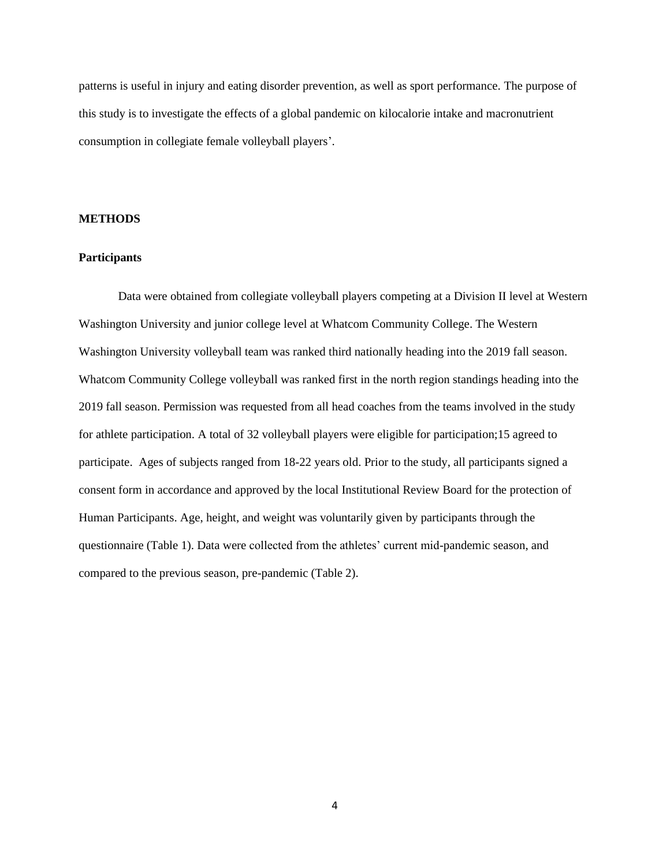patterns is useful in injury and eating disorder prevention, as well as sport performance. The purpose of this study is to investigate the effects of a global pandemic on kilocalorie intake and macronutrient consumption in collegiate female volleyball players'.

#### **METHODS**

#### **Participants**

Data were obtained from collegiate volleyball players competing at a Division II level at Western Washington University and junior college level at Whatcom Community College. The Western Washington University volleyball team was ranked third nationally heading into the 2019 fall season. Whatcom Community College volleyball was ranked first in the north region standings heading into the 2019 fall season. Permission was requested from all head coaches from the teams involved in the study for athlete participation. A total of 32 volleyball players were eligible for participation;15 agreed to participate. Ages of subjects ranged from 18-22 years old. Prior to the study, all participants signed a consent form in accordance and approved by the local Institutional Review Board for the protection of Human Participants. Age, height, and weight was voluntarily given by participants through the questionnaire (Table 1). Data were collected from the athletes' current mid-pandemic season, and compared to the previous season, pre-pandemic (Table 2).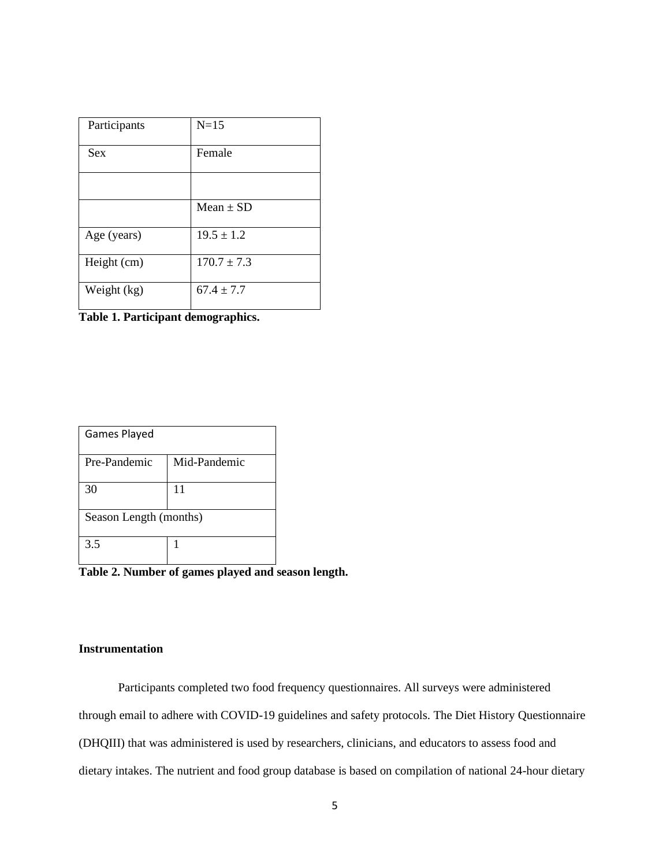| Participants | $N=15$          |
|--------------|-----------------|
| <b>Sex</b>   | Female          |
|              |                 |
|              | $Mean \pm SD$   |
| Age (years)  | $19.5 \pm 1.2$  |
| Height (cm)  | $170.7 \pm 7.3$ |
| Weight (kg)  | $67.4 \pm 7.7$  |

**Table 1. Participant demographics.**

| Games Played           |              |  |
|------------------------|--------------|--|
| Pre-Pandemic           | Mid-Pandemic |  |
| 30                     | 11           |  |
| Season Length (months) |              |  |
| 3.5                    |              |  |

Table 2. Number of games played and season length.

#### **Instrumentation**

Participants completed two food frequency questionnaires. All surveys were administered through email to adhere with COVID-19 guidelines and safety protocols. The Diet History Questionnaire (DHQIII) that was administered is used by researchers, clinicians, and educators to assess food and dietary intakes. The nutrient and food group database is based on compilation of national 24-hour dietary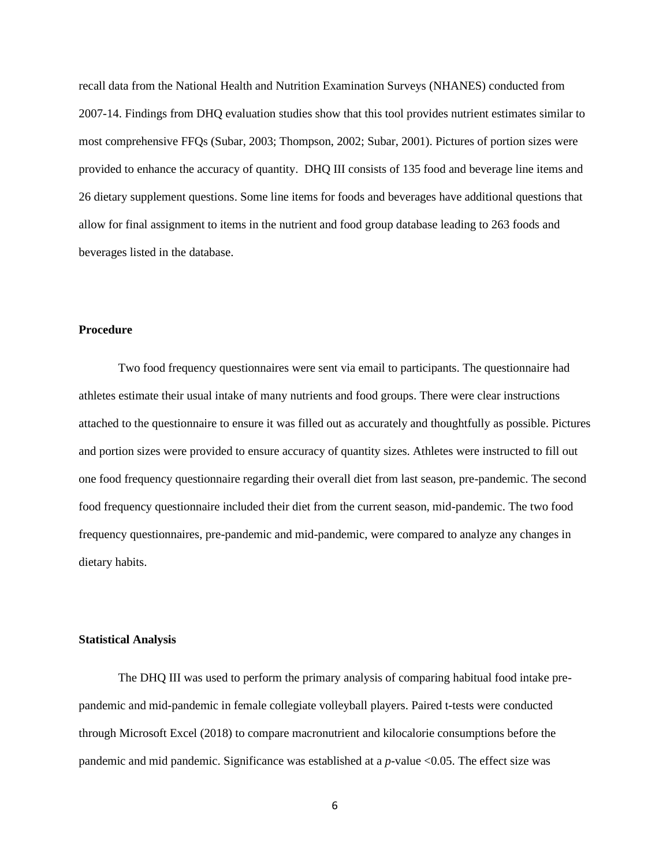recall data from the National Health and Nutrition Examination Surveys (NHANES) conducted from 2007-14. Findings from DHQ evaluation studies show that this tool provides nutrient estimates similar to most comprehensive FFQs (Subar, 2003; Thompson, 2002; Subar, 2001). Pictures of portion sizes were provided to enhance the accuracy of quantity. DHQ III consists of 135 food and beverage line items and 26 dietary supplement questions. Some line items for foods and beverages have additional questions that allow for final assignment to items in the nutrient and food group database leading to 263 foods and beverages listed in the database.

#### **Procedure**

Two food frequency questionnaires were sent via email to participants. The questionnaire had athletes estimate their usual intake of many nutrients and food groups. There were clear instructions attached to the questionnaire to ensure it was filled out as accurately and thoughtfully as possible. Pictures and portion sizes were provided to ensure accuracy of quantity sizes. Athletes were instructed to fill out one food frequency questionnaire regarding their overall diet from last season, pre-pandemic. The second food frequency questionnaire included their diet from the current season, mid-pandemic. The two food frequency questionnaires, pre-pandemic and mid-pandemic, were compared to analyze any changes in dietary habits.

#### **Statistical Analysis**

The DHQ III was used to perform the primary analysis of comparing habitual food intake prepandemic and mid-pandemic in female collegiate volleyball players. Paired t-tests were conducted through Microsoft Excel (2018) to compare macronutrient and kilocalorie consumptions before the pandemic and mid pandemic. Significance was established at a *p*-value <0.05. The effect size was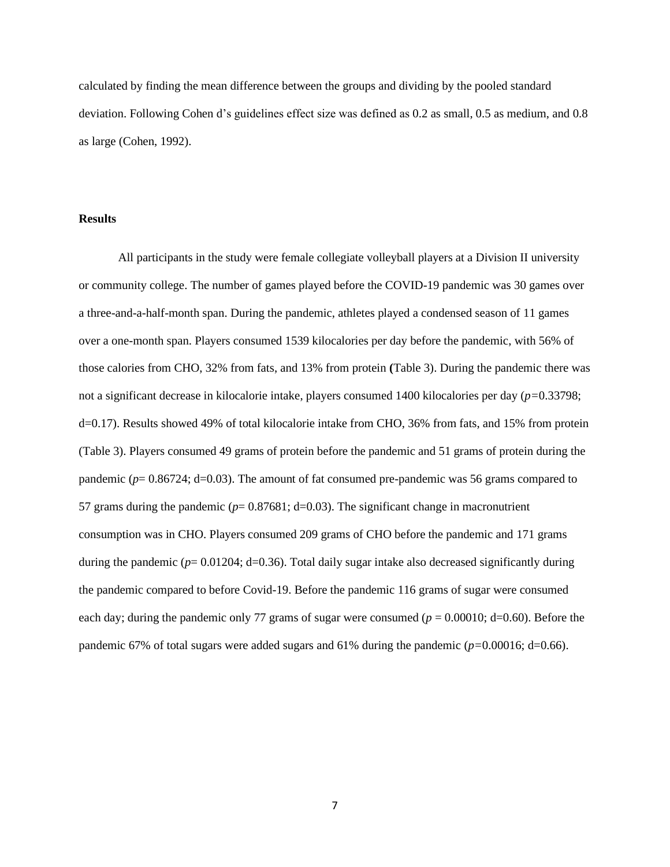calculated by finding the mean difference between the groups and dividing by the pooled standard deviation. Following Cohen d's guidelines effect size was defined as 0.2 as small, 0.5 as medium, and 0.8 as large (Cohen, 1992).

#### **Results**

All participants in the study were female collegiate volleyball players at a Division II university or community college. The number of games played before the COVID-19 pandemic was 30 games over a three-and-a-half-month span. During the pandemic, athletes played a condensed season of 11 games over a one-month span. Players consumed 1539 kilocalories per day before the pandemic, with 56% of those calories from CHO, 32% from fats, and 13% from protein **(**Table 3). During the pandemic there was not a significant decrease in kilocalorie intake, players consumed 1400 kilocalories per day (*p=*0.33798; d=0.17). Results showed 49% of total kilocalorie intake from CHO, 36% from fats, and 15% from protein (Table 3). Players consumed 49 grams of protein before the pandemic and 51 grams of protein during the pandemic (*p*= 0.86724; d=0.03). The amount of fat consumed pre-pandemic was 56 grams compared to 57 grams during the pandemic ( $p= 0.87681$ ; d=0.03). The significant change in macronutrient consumption was in CHO. Players consumed 209 grams of CHO before the pandemic and 171 grams during the pandemic ( $p= 0.01204$ ; d=0.36). Total daily sugar intake also decreased significantly during the pandemic compared to before Covid-19. Before the pandemic 116 grams of sugar were consumed each day; during the pandemic only 77 grams of sugar were consumed ( $p = 0.00010$ ; d=0.60). Before the pandemic 67% of total sugars were added sugars and 61% during the pandemic (*p=*0.00016; d=0.66).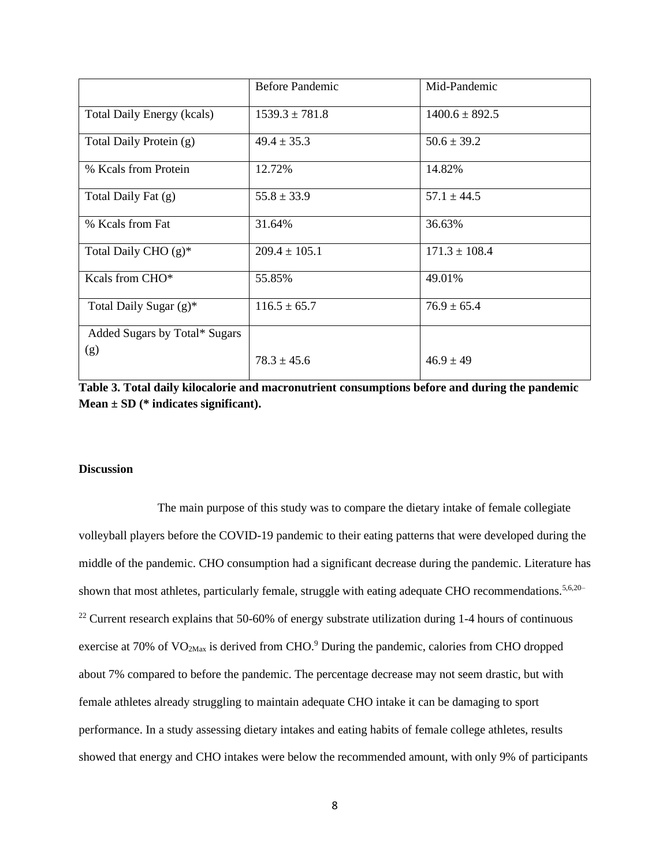|                                   | <b>Before Pandemic</b> | Mid-Pandemic       |
|-----------------------------------|------------------------|--------------------|
| <b>Total Daily Energy (kcals)</b> | $1539.3 \pm 781.8$     | $1400.6 \pm 892.5$ |
| Total Daily Protein (g)           | $49.4 \pm 35.3$        | $50.6 \pm 39.2$    |
| % Kcals from Protein              | 12.72%                 | 14.82%             |
| Total Daily Fat (g)               | $55.8 \pm 33.9$        | $57.1 \pm 44.5$    |
| % Keals from Fat                  | 31.64%                 | 36.63%             |
| Total Daily CHO (g)*              | $209.4 \pm 105.1$      | $171.3 \pm 108.4$  |
| Kcals from CHO*                   | 55.85%                 | 49.01%             |
| Total Daily Sugar (g)*            | $116.5 \pm 65.7$       | $76.9 \pm 65.4$    |
| Added Sugars by Total* Sugars     |                        |                    |
| (g)                               | $78.3 \pm 45.6$        | $46.9 \pm 49$      |

**Table 3. Total daily kilocalorie and macronutrient consumptions before and during the pandemic Mean ± SD (\* indicates significant).** 

#### **Discussion**

The main purpose of this study was to compare the dietary intake of female collegiate volleyball players before the COVID-19 pandemic to their eating patterns that were developed during the middle of the pandemic. CHO consumption had a significant decrease during the pandemic. Literature has shown that most athletes, particularly female, struggle with eating adequate CHO recommendations.<sup>5,6,20–</sup> <sup>22</sup> Current research explains that 50-60% of energy substrate utilization during 1-4 hours of continuous exercise at 70% of  $VO<sub>2Max</sub>$  is derived from CHO.<sup>9</sup> During the pandemic, calories from CHO dropped about 7% compared to before the pandemic. The percentage decrease may not seem drastic, but with female athletes already struggling to maintain adequate CHO intake it can be damaging to sport performance. In a study assessing dietary intakes and eating habits of female college athletes, results showed that energy and CHO intakes were below the recommended amount, with only 9% of participants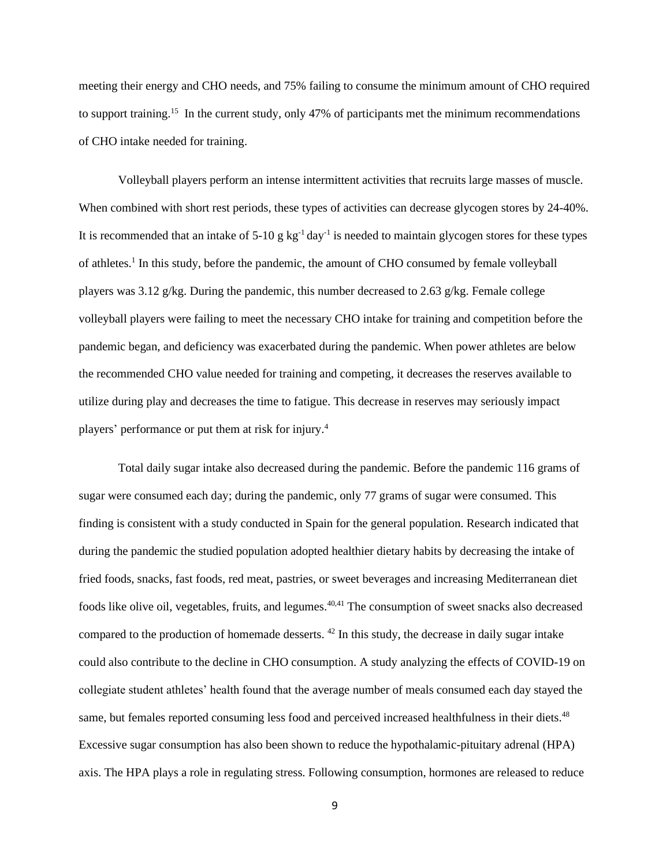meeting their energy and CHO needs, and 75% failing to consume the minimum amount of CHO required to support training.<sup>15</sup> In the current study, only 47% of participants met the minimum recommendations of CHO intake needed for training.

Volleyball players perform an intense intermittent activities that recruits large masses of muscle. When combined with short rest periods, these types of activities can decrease glycogen stores by 24-40%. It is recommended that an intake of  $5{\text -}10 \text{ g kg}^{-1}$  day<sup>-1</sup> is needed to maintain glycogen stores for these types of athletes.<sup>1</sup> In this study, before the pandemic, the amount of CHO consumed by female volleyball players was  $3.12 \text{ g/kg}$ . During the pandemic, this number decreased to  $2.63 \text{ g/kg}$ . Female college volleyball players were failing to meet the necessary CHO intake for training and competition before the pandemic began, and deficiency was exacerbated during the pandemic. When power athletes are below the recommended CHO value needed for training and competing, it decreases the reserves available to utilize during play and decreases the time to fatigue. This decrease in reserves may seriously impact players' performance or put them at risk for injury.<sup>4</sup>

Total daily sugar intake also decreased during the pandemic. Before the pandemic 116 grams of sugar were consumed each day; during the pandemic, only 77 grams of sugar were consumed. This finding is consistent with a study conducted in Spain for the general population. Research indicated that during the pandemic the studied population adopted healthier dietary habits by decreasing the intake of fried foods, snacks, fast foods, red meat, pastries, or sweet beverages and increasing Mediterranean diet foods like olive oil, vegetables, fruits, and legumes.<sup>40,41</sup> The consumption of sweet snacks also decreased compared to the production of homemade desserts.  $42$  In this study, the decrease in daily sugar intake could also contribute to the decline in CHO consumption. A study analyzing the effects of COVID-19 on collegiate student athletes' health found that the average number of meals consumed each day stayed the same, but females reported consuming less food and perceived increased healthfulness in their diets.<sup>48</sup> Excessive sugar consumption has also been shown to reduce the hypothalamic-pituitary adrenal (HPA) axis. The HPA plays a role in regulating stress. Following consumption, hormones are released to reduce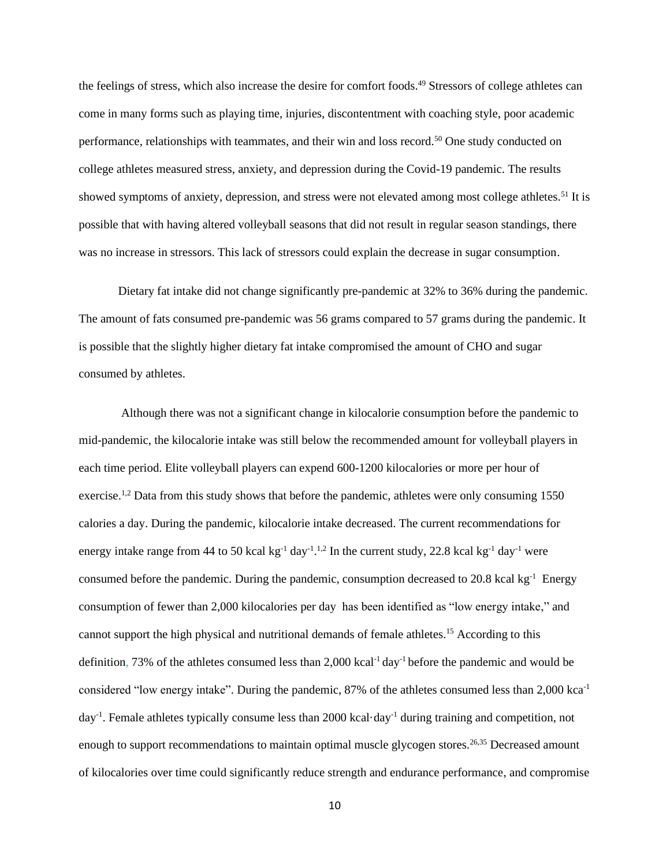the feelings of stress, which also increase the desire for comfort foods.<sup>49</sup> Stressors of college athletes can come in many forms such as playing time, injuries, discontentment with coaching style, poor academic performance, relationships with teammates, and their win and loss record.<sup>50</sup> One study conducted on college athletes measured stress, anxiety, and depression during the Covid-19 pandemic. The results showed symptoms of anxiety, depression, and stress were not elevated among most college athletes.<sup>51</sup> It is possible that with having altered volleyball seasons that did not result in regular season standings, there was no increase in stressors. This lack of stressors could explain the decrease in sugar consumption.

Dietary fat intake did not change significantly pre-pandemic at 32% to 36% during the pandemic. The amount of fats consumed pre-pandemic was 56 grams compared to 57 grams during the pandemic. It is possible that the slightly higher dietary fat intake compromised the amount of CHO and sugar consumed by athletes.

Although there was not a significant change in kilocalorie consumption before the pandemic to mid-pandemic, the kilocalorie intake was still below the recommended amount for volleyball players in each time period. Elite volleyball players can expend 600-1200 kilocalories or more per hour of exercise.<sup>1,2</sup> Data from this study shows that before the pandemic, athletes were only consuming 1550 calories a day. During the pandemic, kilocalorie intake decreased. The current recommendations for energy intake range from 44 to 50 kcal kg<sup>-1</sup> day<sup>-1</sup>.<sup>1,2</sup> In the current study, 22.8 kcal kg<sup>-1</sup> day<sup>-1</sup> were consumed before the pandemic. During the pandemic, consumption decreased to 20.8 kcal kg<sup>-1</sup> Energy consumption of fewer than 2,000 kilocalories per day has been identified as "low energy intake," and cannot support the high physical and nutritional demands of female athletes.<sup>15</sup> According to this definition, 73% of the athletes consumed less than 2,000 kcal-1 day-1 before the pandemic and would be considered "low energy intake". During the pandemic, 87% of the athletes consumed less than 2,000 kca-1 day<sup>-1</sup>. Female athletes typically consume less than 2000 kcal·day<sup>-1</sup> during training and competition, not enough to support recommendations to maintain optimal muscle glycogen stores.<sup>26,35</sup> Decreased amount of kilocalories over time could significantly reduce strength and endurance performance, and compromise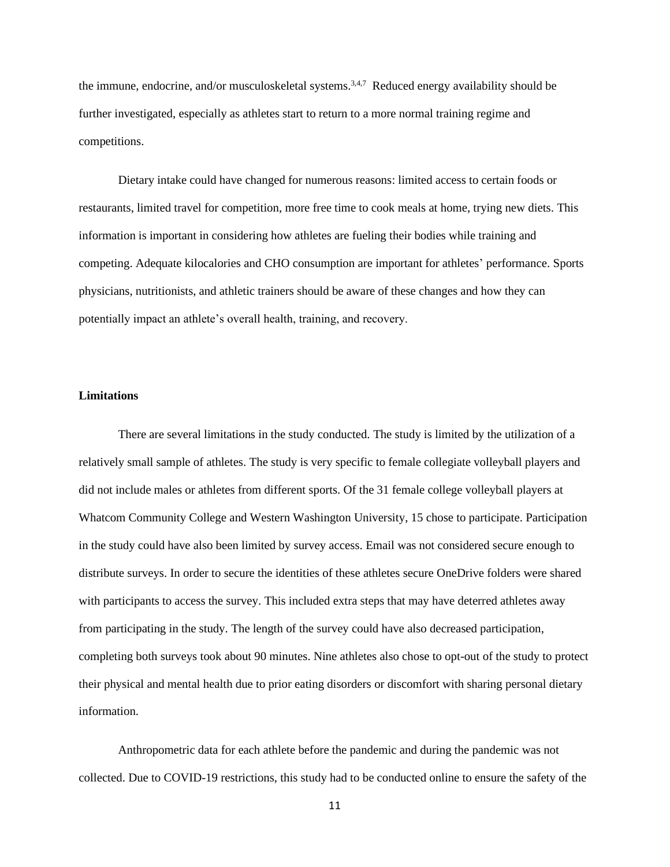the immune, endocrine, and/or musculoskeletal systems.<sup>3,4,7</sup> Reduced energy availability should be further investigated, especially as athletes start to return to a more normal training regime and competitions.

Dietary intake could have changed for numerous reasons: limited access to certain foods or restaurants, limited travel for competition, more free time to cook meals at home, trying new diets. This information is important in considering how athletes are fueling their bodies while training and competing. Adequate kilocalories and CHO consumption are important for athletes' performance. Sports physicians, nutritionists, and athletic trainers should be aware of these changes and how they can potentially impact an athlete's overall health, training, and recovery.

#### **Limitations**

There are several limitations in the study conducted. The study is limited by the utilization of a relatively small sample of athletes. The study is very specific to female collegiate volleyball players and did not include males or athletes from different sports. Of the 31 female college volleyball players at Whatcom Community College and Western Washington University, 15 chose to participate. Participation in the study could have also been limited by survey access. Email was not considered secure enough to distribute surveys. In order to secure the identities of these athletes secure OneDrive folders were shared with participants to access the survey. This included extra steps that may have deterred athletes away from participating in the study. The length of the survey could have also decreased participation, completing both surveys took about 90 minutes. Nine athletes also chose to opt-out of the study to protect their physical and mental health due to prior eating disorders or discomfort with sharing personal dietary information.

Anthropometric data for each athlete before the pandemic and during the pandemic was not collected. Due to COVID-19 restrictions, this study had to be conducted online to ensure the safety of the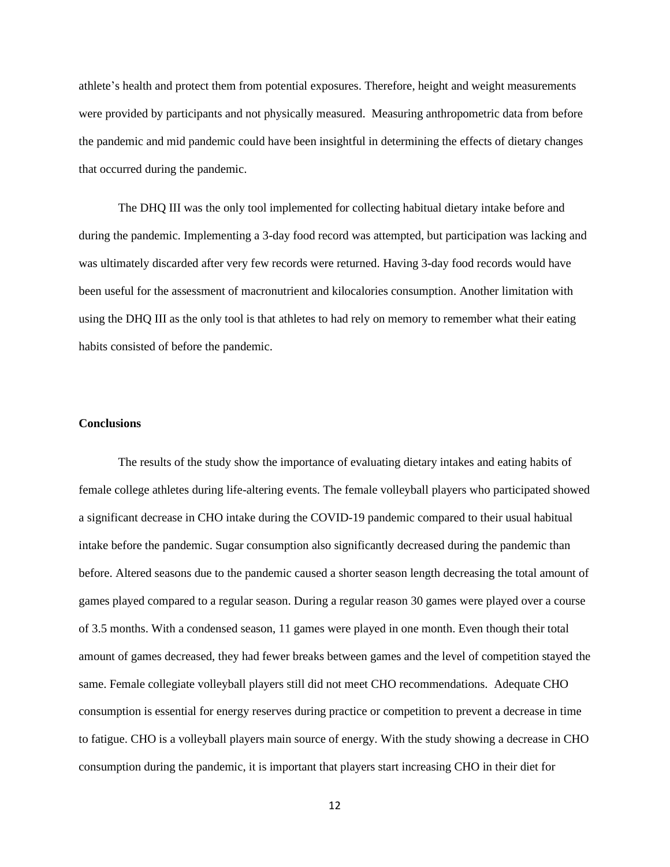athlete's health and protect them from potential exposures. Therefore, height and weight measurements were provided by participants and not physically measured. Measuring anthropometric data from before the pandemic and mid pandemic could have been insightful in determining the effects of dietary changes that occurred during the pandemic.

The DHQ III was the only tool implemented for collecting habitual dietary intake before and during the pandemic. Implementing a 3-day food record was attempted, but participation was lacking and was ultimately discarded after very few records were returned. Having 3-day food records would have been useful for the assessment of macronutrient and kilocalories consumption. Another limitation with using the DHQ III as the only tool is that athletes to had rely on memory to remember what their eating habits consisted of before the pandemic.

#### **Conclusions**

The results of the study show the importance of evaluating dietary intakes and eating habits of female college athletes during life-altering events. The female volleyball players who participated showed a significant decrease in CHO intake during the COVID-19 pandemic compared to their usual habitual intake before the pandemic. Sugar consumption also significantly decreased during the pandemic than before. Altered seasons due to the pandemic caused a shorter season length decreasing the total amount of games played compared to a regular season. During a regular reason 30 games were played over a course of 3.5 months. With a condensed season, 11 games were played in one month. Even though their total amount of games decreased, they had fewer breaks between games and the level of competition stayed the same. Female collegiate volleyball players still did not meet CHO recommendations. Adequate CHO consumption is essential for energy reserves during practice or competition to prevent a decrease in time to fatigue. CHO is a volleyball players main source of energy. With the study showing a decrease in CHO consumption during the pandemic, it is important that players start increasing CHO in their diet for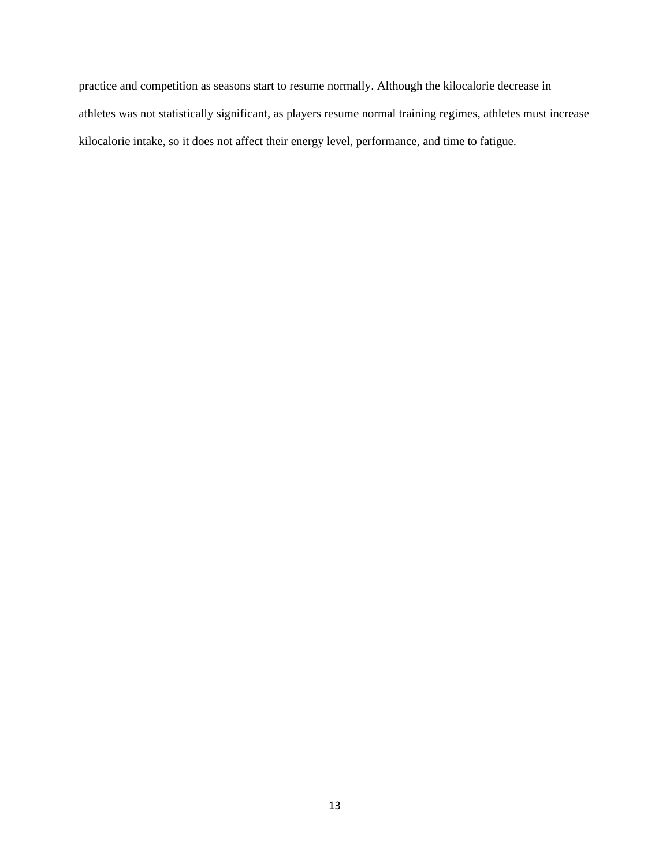practice and competition as seasons start to resume normally. Although the kilocalorie decrease in athletes was not statistically significant, as players resume normal training regimes, athletes must increase kilocalorie intake, so it does not affect their energy level, performance, and time to fatigue.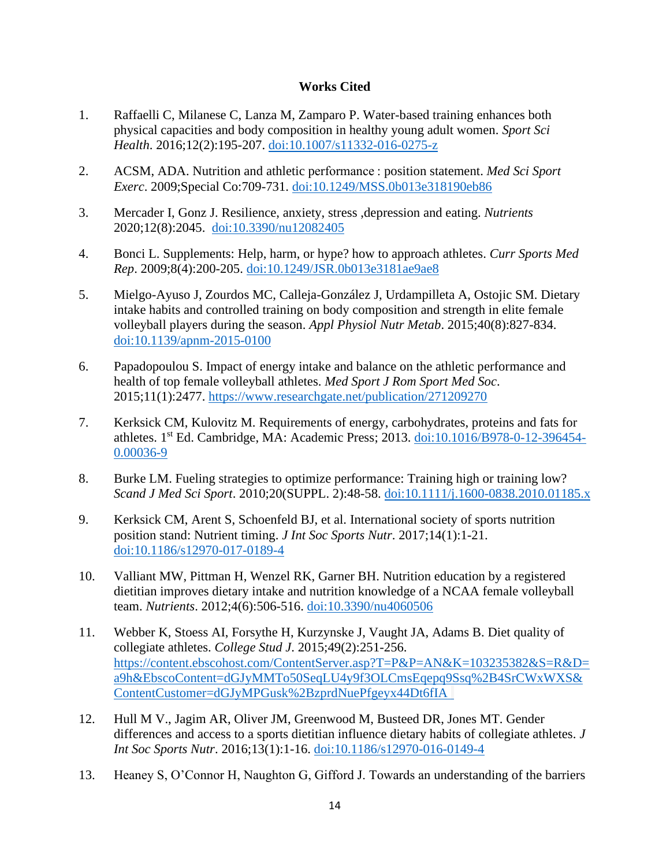# **Works Cited**

- 1. Raffaelli C, Milanese C, Lanza M, Zamparo P. Water-based training enhances both physical capacities and body composition in healthy young adult women. *Sport Sci Health*. 2016;12(2):195-207. [doi:10.1007/s11332-016-0275-z](https://link.springer.com/article/10.1007/s11332-016-0275-z?utm_medium=affiliate&utm_source=commission_junction&CJEVENT=3720f6e5ced811ec82d4d57d0a82b838&utm_campaign=CONR_BOOKS_ECOM_GL_PHSS_ALWYS_DEEPLINK&utm_content=textlink&utm_term=PID100357191&?utm_medium=affiliate)
- 2. ACSM, ADA. Nutrition and athletic performance : position statement. *Med Sci Sport Exerc*. 2009;Special Co:709-731. [doi:10.1249/MSS.0b013e318190eb86](https://pubmed.ncbi.nlm.nih.gov/19225360/)
- 3. Mercader I, Gonz J. Resilience, anxiety, stress ,depression and eating. *Nutrients*  2020;12(8):2045. [doi:10.3390/nu12082405](https://pubmed.ncbi.nlm.nih.gov/32796645/)
- 4. Bonci L. Supplements: Help, harm, or hype? how to approach athletes. *Curr Sports Med Rep*. 2009;8(4):200-205. [doi:10.1249/JSR.0b013e3181ae9ae8](https://pubmed.ncbi.nlm.nih.gov/19584607/)
- 5. Mielgo-Ayuso J, Zourdos MC, Calleja-González J, Urdampilleta A, Ostojic SM. Dietary intake habits and controlled training on body composition and strength in elite female volleyball players during the season. *Appl Physiol Nutr Metab*. 2015;40(8):827-834. [doi:10.1139/apnm-2015-0100](https://pubmed.ncbi.nlm.nih.gov/26224330/)
- 6. Papadopoulou S. Impact of energy intake and balance on the athletic performance and health of top female volleyball athletes. *Med Sport J Rom Sport Med Soc*. 2015;11(1):2477. <https://www.researchgate.net/publication/271209270>
- 7. Kerksick CM, Kulovitz M. Requirements of energy, carbohydrates, proteins and fats for athletes. 1<sup>st</sup> Ed. Cambridge, MA: Academic Press; 2013. [doi:10.1016/B978-0-12-396454-](https://www.sciencedirect.com/science/article/pii/B9780123964540000369?msclkid=ecb55b9fced811ec90b1117e07bc9caf) [0.00036-9](https://www.sciencedirect.com/science/article/pii/B9780123964540000369?msclkid=ecb55b9fced811ec90b1117e07bc9caf)
- 8. Burke LM. Fueling strategies to optimize performance: Training high or training low? *Scand J Med Sci Sport*. 2010;20(SUPPL. 2):48-58. [doi:10.1111/j.1600-0838.2010.01185.x](https://pubmed.ncbi.nlm.nih.gov/20840562/)
- 9. Kerksick CM, Arent S, Schoenfeld BJ, et al. International society of sports nutrition position stand: Nutrient timing. *J Int Soc Sports Nutr*. 2017;14(1):1-21. [doi:10.1186/s12970-017-0189-4](https://pubmed.ncbi.nlm.nih.gov/28919842/)
- 10. Valliant MW, Pittman H, Wenzel RK, Garner BH. Nutrition education by a registered dietitian improves dietary intake and nutrition knowledge of a NCAA female volleyball team. *Nutrients*. 2012;4(6):506-516. [doi:10.3390/nu4060506](https://europepmc.org/article/PMC/3397349?msclkid=670fb5a2ced911eca9e819fcfa83ef5c)
- 11. Webber K, Stoess AI, Forsythe H, Kurzynske J, Vaught JA, Adams B. Diet quality of collegiate athletes. *College Stud J*. 2015;49(2):251-256. [https://content.ebscohost.com/ContentServer.asp?T=P&P=AN&K=103235382&S=R&D=](https://content.ebscohost.com/ContentServer.asp?T=P&P=AN&K=103235382&S=R&D=a9h&EbscoContent=dGJyMMTo50SeqLU4y9f3OLCmsEqepq9Ssq%2B4SrCWxWXS&ContentCustomer=dGJyMPGusk%2BzprdNuePfgeyx44Dt6fIA%20 %20) [a9h&EbscoContent=dGJyMMTo50SeqLU4y9f3OLCmsEqepq9Ssq%2B4SrCWxWXS&](https://content.ebscohost.com/ContentServer.asp?T=P&P=AN&K=103235382&S=R&D=a9h&EbscoContent=dGJyMMTo50SeqLU4y9f3OLCmsEqepq9Ssq%2B4SrCWxWXS&ContentCustomer=dGJyMPGusk%2BzprdNuePfgeyx44Dt6fIA%20 %20) [ContentCustomer=dGJyMPGusk%2BzprdNuePfgeyx44Dt6fIA](https://content.ebscohost.com/ContentServer.asp?T=P&P=AN&K=103235382&S=R&D=a9h&EbscoContent=dGJyMMTo50SeqLU4y9f3OLCmsEqepq9Ssq%2B4SrCWxWXS&ContentCustomer=dGJyMPGusk%2BzprdNuePfgeyx44Dt6fIA%20 %20)
- 12. Hull M V., Jagim AR, Oliver JM, Greenwood M, Busteed DR, Jones MT. Gender differences and access to a sports dietitian influence dietary habits of collegiate athletes. *J Int Soc Sports Nutr*. 2016;13(1):1-16. [doi:10.1186/s12970-016-0149-4](https://pubmed.ncbi.nlm.nih.gov/27777542/)
- 13. Heaney S, O'Connor H, Naughton G, Gifford J. Towards an understanding of the barriers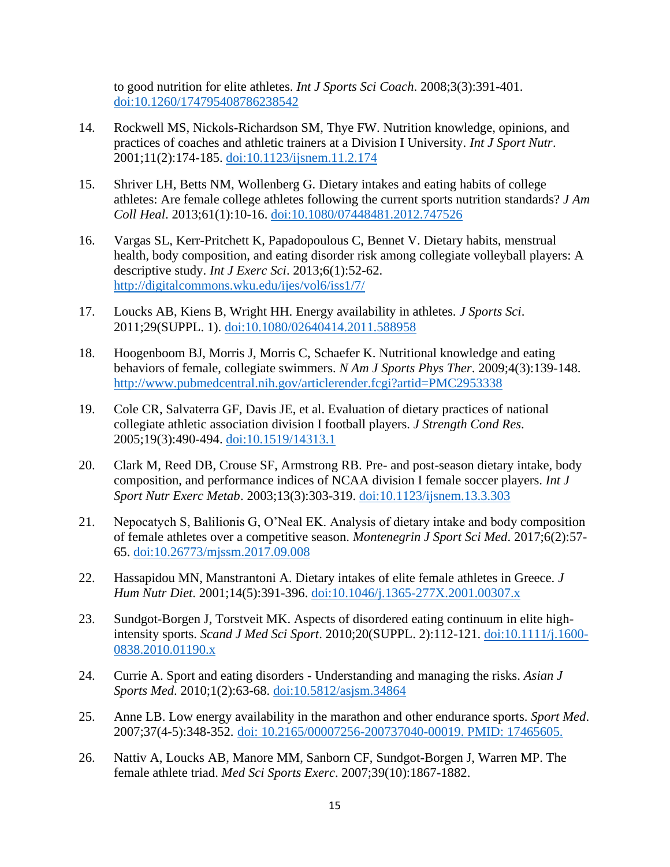to good nutrition for elite athletes. *Int J Sports Sci Coach*. 2008;3(3):391-401. [doi:10.1260/174795408786238542](https://journals.sagepub.com/doi/10.1260/174795408786238542?msclkid=ab89130dceda11ecabf053da174b651b)

- 14. Rockwell MS, Nickols-Richardson SM, Thye FW. Nutrition knowledge, opinions, and practices of coaches and athletic trainers at a Division I University. *Int J Sport Nutr*. 2001;11(2):174-185. [doi:10.1123/ijsnem.11.2.174](https://pubmed.ncbi.nlm.nih.gov/11402251/)
- 15. Shriver LH, Betts NM, Wollenberg G. Dietary intakes and eating habits of college athletes: Are female college athletes following the current sports nutrition standards? *J Am Coll Heal*. 2013;61(1):10-16. [doi:10.1080/07448481.2012.747526](https://pubmed.ncbi.nlm.nih.gov/23305540/)
- 16. Vargas SL, Kerr-Pritchett K, Papadopoulous C, Bennet V. Dietary habits, menstrual health, body composition, and eating disorder risk among collegiate volleyball players: A descriptive study. *Int J Exerc Sci*. 2013;6(1):52-62. <http://digitalcommons.wku.edu/ijes/vol6/iss1/7/>
- 17. Loucks AB, Kiens B, Wright HH. Energy availability in athletes. *J Sports Sci*. 2011;29(SUPPL. 1). [doi:10.1080/02640414.2011.588958](https://pubmed.ncbi.nlm.nih.gov/21793767/)
- 18. Hoogenboom BJ, Morris J, Morris C, Schaefer K. Nutritional knowledge and eating behaviors of female, collegiate swimmers. *N Am J Sports Phys Ther*. 2009;4(3):139-148. <http://www.pubmedcentral.nih.gov/articlerender.fcgi?artid=PMC2953338>
- 19. Cole CR, Salvaterra GF, Davis JE, et al. Evaluation of dietary practices of national collegiate athletic association division I football players. *J Strength Cond Res*. 2005;19(3):490-494. [doi:10.1519/14313.1](https://pubmed.ncbi.nlm.nih.gov/16095395/)
- 20. Clark M, Reed DB, Crouse SF, Armstrong RB. Pre- and post-season dietary intake, body composition, and performance indices of NCAA division I female soccer players. *Int J Sport Nutr Exerc Metab*. 2003;13(3):303-319. [doi:10.1123/ijsnem.13.3.303](https://pubmed.ncbi.nlm.nih.gov/14669931/)
- 21. Nepocatych S, Balilionis G, O'Neal EK. Analysis of dietary intake and body composition of female athletes over a competitive season. *Montenegrin J Sport Sci Med*. 2017;6(2):57- 65. [doi:10.26773/mjssm.2017.09.008](https://www.researchgate.net/publication/319098875_Analysis_of_Dietary_Intake_and_Body_Composition_of_Female_Athletes_over_a_Competitive_Season?msclkid=1f13f432cedc11ec9984cf5edf788084)
- 22. Hassapidou MN, Manstrantoni A. Dietary intakes of elite female athletes in Greece. *J Hum Nutr Diet*. 2001;14(5):391-396. [doi:10.1046/j.1365-277X.2001.00307.x](https://pubmed.ncbi.nlm.nih.gov/11906580/)
- 23. Sundgot-Borgen J, Torstveit MK. Aspects of disordered eating continuum in elite highintensity sports. *Scand J Med Sci Sport*. 2010;20(SUPPL. 2):112-121. [doi:10.1111/j.1600-](https://pubmed.ncbi.nlm.nih.gov/20840569/) [0838.2010.01190.x](https://pubmed.ncbi.nlm.nih.gov/20840569/)
- 24. Currie A. Sport and eating disorders Understanding and managing the risks. *Asian J Sports Med*. 2010;1(2):63-68. [doi:10.5812/asjsm.34864](https://pubmed.ncbi.nlm.nih.gov/22375193/)
- 25. Anne LB. Low energy availability in the marathon and other endurance sports. *Sport Med*. 2007;37(4-5):348-352. [doi: 10.2165/00007256-200737040-00019. PMID: 17465605.](https://pubmed.ncbi.nlm.nih.gov/17465605/)
- 26. Nattiv A, Loucks AB, Manore MM, Sanborn CF, Sundgot-Borgen J, Warren MP. The female athlete triad. *Med Sci Sports Exerc*. 2007;39(10):1867-1882.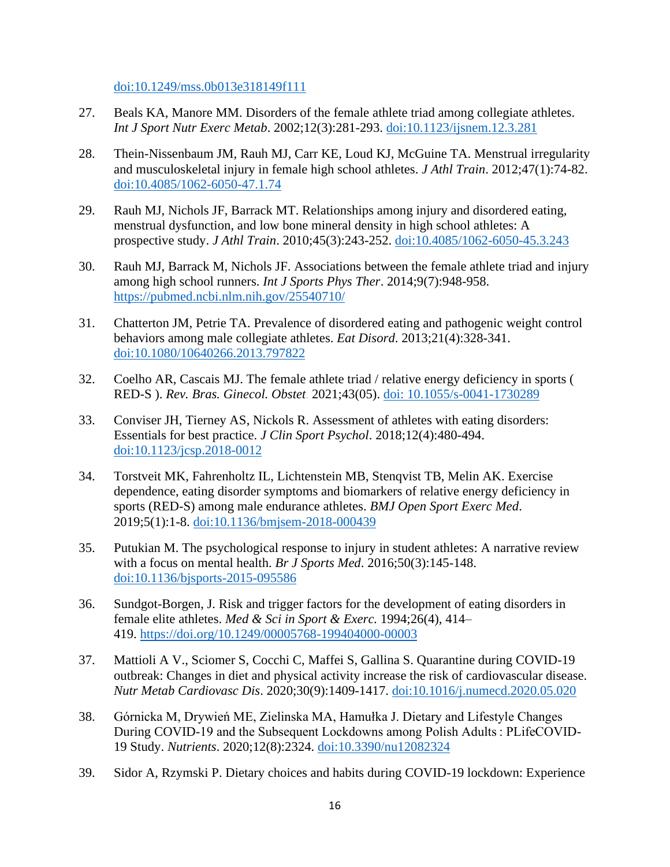[doi:10.1249/mss.0b013e318149f111](https://pubmed.ncbi.nlm.nih.gov/17909417/)

- 27. Beals KA, Manore MM. Disorders of the female athlete triad among collegiate athletes. *Int J Sport Nutr Exerc Metab*. 2002;12(3):281-293. [doi:10.1123/ijsnem.12.3.281](https://pubmed.ncbi.nlm.nih.gov/12432173/#:~:text=DOI%3A%2010.1123%2Fijsnem.12.3.281%20Abstract%20This%20study%20examined%20the%20prevalence,athletes%20participating%20in%20aesthetic%2C%20endurance%2C%20or%20team%2Fanaerobic%20sports.?msclkid=d7fcd74dcedc11ec9fc984814f1c70ec)
- 28. Thein-Nissenbaum JM, Rauh MJ, Carr KE, Loud KJ, McGuine TA. Menstrual irregularity and musculoskeletal injury in female high school athletes. *J Athl Train*. 2012;47(1):74-82. [doi:10.4085/1062-6050-47.1.74](https://pubmed.ncbi.nlm.nih.gov/22488233/)
- 29. Rauh MJ, Nichols JF, Barrack MT. Relationships among injury and disordered eating, menstrual dysfunction, and low bone mineral density in high school athletes: A prospective study. *J Athl Train*. 2010;45(3):243-252. [doi:10.4085/1062-6050-45.3.243](https://pubmed.ncbi.nlm.nih.gov/20446837/)
- 30. Rauh MJ, Barrack M, Nichols JF. Associations between the female athlete triad and injury among high school runners. *Int J Sports Phys Ther*. 2014;9(7):948-958. <https://pubmed.ncbi.nlm.nih.gov/25540710/>
- 31. Chatterton JM, Petrie TA. Prevalence of disordered eating and pathogenic weight control behaviors among male collegiate athletes. *Eat Disord*. 2013;21(4):328-341. [doi:10.1080/10640266.2013.797822](https://pubmed.ncbi.nlm.nih.gov/23767673/)
- 32. Coelho AR, Cascais MJ. The female athlete triad / relative energy deficiency in sports ( RED-S ). *Rev. Bras. Ginecol. Obstet*. 2021;43(05). [doi: 10.1055/s-0041-1730289](https://pubmed.ncbi.nlm.nih.gov/34077990/)
- 33. Conviser JH, Tierney AS, Nickols R. Assessment of athletes with eating disorders: Essentials for best practice. *J Clin Sport Psychol*. 2018;12(4):480-494. [doi:10.1123/jcsp.2018-0012](https://journals.humankinetics.com/view/journals/jcsp/12/4/article-p480.xml?msclkid=0407e7c9cede11ec9053396bdd1dc992)
- 34. Torstveit MK, Fahrenholtz IL, Lichtenstein MB, Stenqvist TB, Melin AK. Exercise dependence, eating disorder symptoms and biomarkers of relative energy deficiency in sports (RED-S) among male endurance athletes. *BMJ Open Sport Exerc Med*. 2019;5(1):1-8. [doi:10.1136/bmjsem-2018-000439](https://pubmed.ncbi.nlm.nih.gov/30792881/)
- 35. Putukian M. The psychological response to injury in student athletes: A narrative review with a focus on mental health. *Br J Sports Med*. 2016;50(3):145-148. [doi:10.1136/bjsports-2015-095586](https://europepmc.org/article/MED/26719498?msclkid=7f818647cede11eca07969498b0fc16e)
- 36. Sundgot-Borgen, J. Risk and trigger factors for the development of eating disorders in female elite athletes. *Med & Sci in Sport & Exerc.* 1994;26(4), 414– 419. <https://doi.org/10.1249/00005768-199404000-00003>
- 37. Mattioli A V., Sciomer S, Cocchi C, Maffei S, Gallina S. Quarantine during COVID-19 outbreak: Changes in diet and physical activity increase the risk of cardiovascular disease. *Nutr Metab Cardiovasc Dis*. 2020;30(9):1409-1417. [doi:10.1016/j.numecd.2020.05.020](https://pubmed.ncbi.nlm.nih.gov/32571612/)
- 38. Górnicka M, Drywień ME, Zielinska MA, Hamułka J. Dietary and Lifestyle Changes During COVID-19 and the Subsequent Lockdowns among Polish Adults : PLifeCOVID-19 Study. *Nutrients*. 2020;12(8):2324. [doi:10.3390/nu12082324](https://pubmed.ncbi.nlm.nih.gov/32756458/)
- 39. Sidor A, Rzymski P. Dietary choices and habits during COVID-19 lockdown: Experience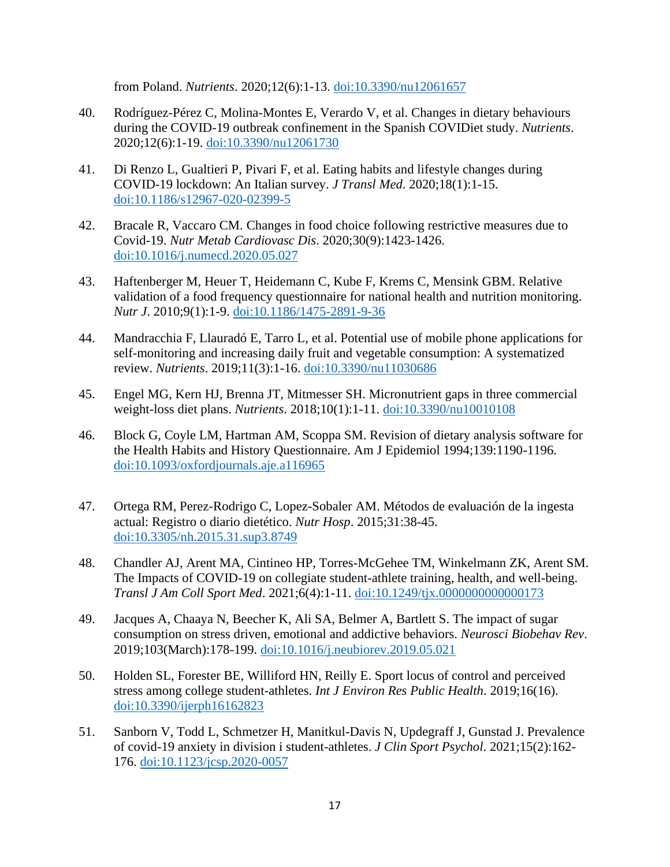from Poland. *Nutrients*. 2020;12(6):1-13. [doi:10.3390/nu12061657](https://pubmed.ncbi.nlm.nih.gov/32503173/)

- 40. Rodríguez-Pérez C, Molina-Montes E, Verardo V, et al. Changes in dietary behaviours during the COVID-19 outbreak confinement in the Spanish COVIDiet study. *Nutrients*. 2020;12(6):1-19. [doi:10.3390/nu12061730](https://pubmed.ncbi.nlm.nih.gov/32531892/)
- 41. Di Renzo L, Gualtieri P, Pivari F, et al. Eating habits and lifestyle changes during COVID-19 lockdown: An Italian survey. *J Transl Med*. 2020;18(1):1-15. [doi:10.1186/s12967-020-02399-5](https://pubmed.ncbi.nlm.nih.gov/32513197/)
- 42. Bracale R, Vaccaro CM. Changes in food choice following restrictive measures due to Covid-19. *Nutr Metab Cardiovasc Dis*. 2020;30(9):1423-1426. [doi:10.1016/j.numecd.2020.05.027](https://pubmed.ncbi.nlm.nih.gov/32600957/)
- 43. Haftenberger M, Heuer T, Heidemann C, Kube F, Krems C, Mensink GBM. Relative validation of a food frequency questionnaire for national health and nutrition monitoring. *Nutr J*. 2010;9(1):1-9. [doi:10.1186/1475-2891-9-36](https://pubmed.ncbi.nlm.nih.gov/20840739/)
- 44. Mandracchia F, Llauradó E, Tarro L, et al. Potential use of mobile phone applications for self-monitoring and increasing daily fruit and vegetable consumption: A systematized review. *Nutrients*. 2019;11(3):1-16. [doi:10.3390/nu11030686](https://pubmed.ncbi.nlm.nih.gov/30909484/)
- 45. Engel MG, Kern HJ, Brenna JT, Mitmesser SH. Micronutrient gaps in three commercial weight-loss diet plans. *Nutrients*. 2018;10(1):1-11. [doi:10.3390/nu10010108](https://pubmed.ncbi.nlm.nih.gov/29361684/)
- 46. Block G, Coyle LM, Hartman AM, Scoppa SM. Revision of dietary analysis software for the Health Habits and History Questionnaire. Am J Epidemiol 1994;139:1190-1196. [doi:10.1093/oxfordjournals.aje.a116965](https://pubmed.ncbi.nlm.nih.gov/8209877/)
- 47. Ortega RM, Perez-Rodrigo C, Lopez-Sobaler AM. Métodos de evaluación de la ingesta actual: Registro o diario dietético. *Nutr Hosp*. 2015;31:38-45. [doi:10.3305/nh.2015.31.sup3.8749](https://pubmed.ncbi.nlm.nih.gov/25719769/)
- 48. Chandler AJ, Arent MA, Cintineo HP, Torres-McGehee TM, Winkelmann ZK, Arent SM. The Impacts of COVID-19 on collegiate student-athlete training, health, and well-being. *Transl J Am Coll Sport Med*. 2021;6(4):1-11. [doi:10.1249/tjx.0000000000000173](https://journals.lww.com/acsm-tj/Fulltext/2021/10150/The_Impacts_of_COVID_19_on_Collegiate.7.aspx?msclkid=83fa103acee011ec900375f955369c07)
- 49. Jacques A, Chaaya N, Beecher K, Ali SA, Belmer A, Bartlett S. The impact of sugar consumption on stress driven, emotional and addictive behaviors. *Neurosci Biobehav Rev*. 2019;103(March):178-199. [doi:10.1016/j.neubiorev.2019.05.021](https://pubmed.ncbi.nlm.nih.gov/31125634/)
- 50. Holden SL, Forester BE, Williford HN, Reilly E. Sport locus of control and perceived stress among college student-athletes. *Int J Environ Res Public Health*. 2019;16(16). [doi:10.3390/ijerph16162823](https://pubmed.ncbi.nlm.nih.gov/31398787/)
- 51. Sanborn V, Todd L, Schmetzer H, Manitkul-Davis N, Updegraff J, Gunstad J. Prevalence of covid-19 anxiety in division i student-athletes. *J Clin Sport Psychol*. 2021;15(2):162- 176. [doi:10.1123/jcsp.2020-0057](https://journals.humankinetics.com/view/journals/jcsp/15/2/article-p162.xml?msclkid=ccbadfe8cee011ecae7b0d35df3864bf)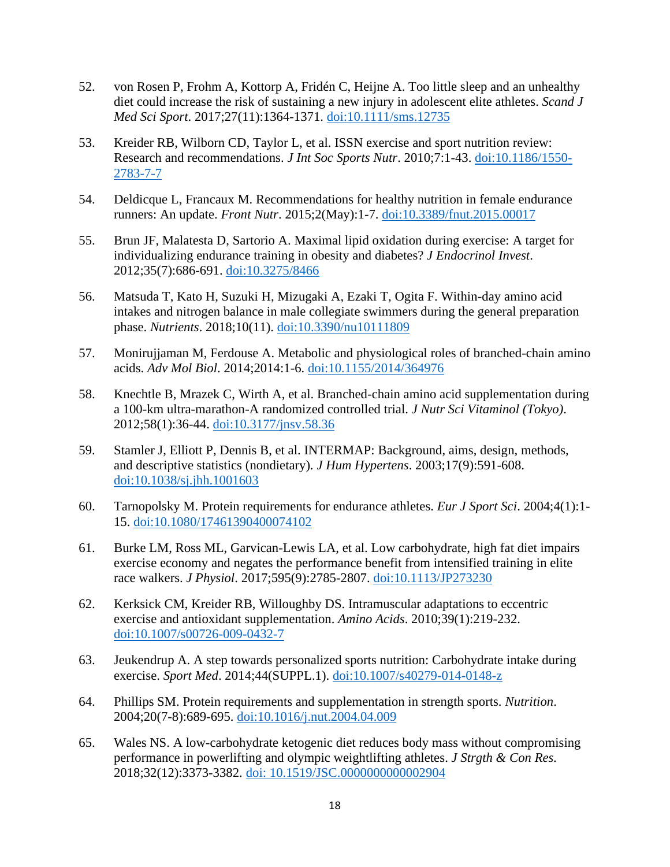- 52. von Rosen P, Frohm A, Kottorp A, Fridén C, Heijne A. Too little sleep and an unhealthy diet could increase the risk of sustaining a new injury in adolescent elite athletes. *Scand J Med Sci Sport*. 2017;27(11):1364-1371. [doi:10.1111/sms.12735](https://pubmed.ncbi.nlm.nih.gov/27539373/)
- 53. Kreider RB, Wilborn CD, Taylor L, et al. ISSN exercise and sport nutrition review: Research and recommendations. *J Int Soc Sports Nutr*. 2010;7:1-43. [doi:10.1186/1550-](https://www.bing.com/search?q=doi%3A10.1186%2F1550-2783-7-7&qs=n&form=QBRE&=Search%20%7B0%7D%20for%20%7B1%7D&=Search%20work%20for%20%7B0%7D&=%25eManage%20Your%20Search%20History%25E&sp=-1&pq=doi%3A10.1186%2F1550-2783-7-7&sc=0-25&sk=&cvid=2D1C7F5B1E9145E69068ECE29DA6B5F4) [2783-7-7](https://www.bing.com/search?q=doi%3A10.1186%2F1550-2783-7-7&qs=n&form=QBRE&=Search%20%7B0%7D%20for%20%7B1%7D&=Search%20work%20for%20%7B0%7D&=%25eManage%20Your%20Search%20History%25E&sp=-1&pq=doi%3A10.1186%2F1550-2783-7-7&sc=0-25&sk=&cvid=2D1C7F5B1E9145E69068ECE29DA6B5F4)
- 54. Deldicque L, Francaux M. Recommendations for healthy nutrition in female endurance runners: An update. *Front Nutr*. 2015;2(May):1-7. [doi:10.3389/fnut.2015.00017](https://pubmed.ncbi.nlm.nih.gov/26075206/)
- 55. Brun JF, Malatesta D, Sartorio A. Maximal lipid oxidation during exercise: A target for individualizing endurance training in obesity and diabetes? *J Endocrinol Invest*. 2012;35(7):686-691. [doi:10.3275/8466](https://link.springer.com/article/10.3275/8466?utm_medium=affiliate&utm_source=commission_junction&CJEVENT=45a98311cee111ec806501f30a82b821&utm_campaign=CONR_BOOKS_ECOM_GL_PHSS_ALWYS_DEEPLINK&utm_content=textlink&utm_term=PID100357191&?utm_medium=affiliate)
- 56. Matsuda T, Kato H, Suzuki H, Mizugaki A, Ezaki T, Ogita F. Within-day amino acid intakes and nitrogen balance in male collegiate swimmers during the general preparation phase. *Nutrients*. 2018;10(11). [doi:10.3390/nu10111809](https://pubmed.ncbi.nlm.nih.gov/30463354/)
- 57. Monirujjaman M, Ferdouse A. Metabolic and physiological roles of branched-chain amino acids. *Adv Mol Biol*. 2014;2014:1-6. [doi:10.1155/2014/364976](https://www.hindawi.com/journals/amb/2014/364976/?msclkid=79731a77cee111ec8b4e0235e9e000f4)
- 58. Knechtle B, Mrazek C, Wirth A, et al. Branched-chain amino acid supplementation during a 100-km ultra-marathon-A randomized controlled trial. *J Nutr Sci Vitaminol (Tokyo)*. 2012;58(1):36-44. [doi:10.3177/jnsv.58.36](https://www.jstage.jst.go.jp/article/jnsv/58/1/58_36/_article?msclkid=9a5ec3dacee111ecb9fa7d83e3d85dc2)
- 59. Stamler J, Elliott P, Dennis B, et al. INTERMAP: Background, aims, design, methods, and descriptive statistics (nondietary). *J Hum Hypertens*. 2003;17(9):591-608. [doi:10.1038/sj.jhh.1001603](https://pubmed.ncbi.nlm.nih.gov/13679950/)
- 60. Tarnopolsky M. Protein requirements for endurance athletes. *Eur J Sport Sci*. 2004;4(1):1- 15. [doi:10.1080/17461390400074102](https://www.tandfonline.com/doi/abs/10.1080/17461390400074102?msclkid=c8163a46cee111eca56b7fc762e54e53)
- 61. Burke LM, Ross ML, Garvican-Lewis LA, et al. Low carbohydrate, high fat diet impairs exercise economy and negates the performance benefit from intensified training in elite race walkers. *J Physiol*. 2017;595(9):2785-2807. [doi:10.1113/JP273230](https://pubmed.ncbi.nlm.nih.gov/28012184/)
- 62. Kerksick CM, Kreider RB, Willoughby DS. Intramuscular adaptations to eccentric exercise and antioxidant supplementation. *Amino Acids*. 2010;39(1):219-232. [doi:10.1007/s00726-009-0432-7](https://pubmed.ncbi.nlm.nih.gov/19967420/)
- 63. Jeukendrup A. A step towards personalized sports nutrition: Carbohydrate intake during exercise. *Sport Med*. 2014;44(SUPPL.1). [doi:10.1007/s40279-014-0148-z](https://pubmed.ncbi.nlm.nih.gov/24791914/)
- 64. Phillips SM. Protein requirements and supplementation in strength sports. *Nutrition*. 2004;20(7-8):689-695. [doi:10.1016/j.nut.2004.04.009](https://pubmed.ncbi.nlm.nih.gov/15212752/)
- 65. Wales NS. A low-carbohydrate ketogenic diet reduces body mass without compromising performance in powerlifting and olympic weightlifting athletes. *J Strgth & Con Res.*  2018;32(12):3373-3382. [doi: 10.1519/JSC.0000000000002904](https://pubmed.ncbi.nlm.nih.gov/30335720/)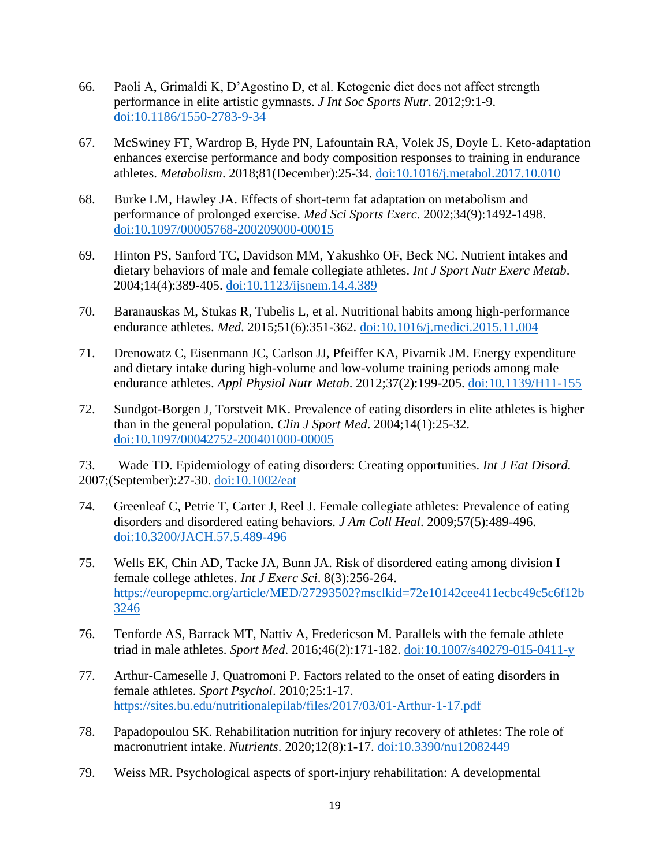- 66. Paoli A, Grimaldi K, D'Agostino D, et al. Ketogenic diet does not affect strength performance in elite artistic gymnasts. *J Int Soc Sports Nutr*. 2012;9:1-9. [doi:10.1186/1550-2783-9-34](https://pubmed.ncbi.nlm.nih.gov/22835211/)
- 67. McSwiney FT, Wardrop B, Hyde PN, Lafountain RA, Volek JS, Doyle L. Keto-adaptation enhances exercise performance and body composition responses to training in endurance athletes. *Metabolism*. 2018;81(December):25-34. [doi:10.1016/j.metabol.2017.10.010](https://pubmed.ncbi.nlm.nih.gov/29108901/)
- 68. Burke LM, Hawley JA. Effects of short-term fat adaptation on metabolism and performance of prolonged exercise. *Med Sci Sports Exerc*. 2002;34(9):1492-1498. [doi:10.1097/00005768-200209000-00015](https://pubmed.ncbi.nlm.nih.gov/12218744/)
- 69. Hinton PS, Sanford TC, Davidson MM, Yakushko OF, Beck NC. Nutrient intakes and dietary behaviors of male and female collegiate athletes. *Int J Sport Nutr Exerc Metab*. 2004;14(4):389-405. [doi:10.1123/ijsnem.14.4.389](https://pubmed.ncbi.nlm.nih.gov/15467098/)
- 70. Baranauskas M, Stukas R, Tubelis L, et al. Nutritional habits among high-performance endurance athletes. *Med*. 2015;51(6):351-362. [doi:10.1016/j.medici.2015.11.004](https://pubmed.ncbi.nlm.nih.gov/26739677/)
- 71. Drenowatz C, Eisenmann JC, Carlson JJ, Pfeiffer KA, Pivarnik JM. Energy expenditure and dietary intake during high-volume and low-volume training periods among male endurance athletes. *Appl Physiol Nutr Metab*. 2012;37(2):199-205. [doi:10.1139/H11-155](https://pubmed.ncbi.nlm.nih.gov/22360344/)
- 72. Sundgot-Borgen J, Torstveit MK. Prevalence of eating disorders in elite athletes is higher than in the general population. *Clin J Sport Med*. 2004;14(1):25-32. [doi:10.1097/00042752-200401000-00005](https://pubmed.ncbi.nlm.nih.gov/14712163/)

73. Wade TD. Epidemiology of eating disorders: Creating opportunities. *Int J Eat Disord.*  2007;(September):27-30. [doi:10.1002/eat](https://onlinelibrary.wiley.com/doi/pdf/10.1002/eat.20456?msclkid=aede87e6cee311eca6bcff5cfe912c88)

- 74. Greenleaf C, Petrie T, Carter J, Reel J. Female collegiate athletes: Prevalence of eating disorders and disordered eating behaviors. *J Am Coll Heal*. 2009;57(5):489-496. [doi:10.3200/JACH.57.5.489-496](https://pubmed.ncbi.nlm.nih.gov/19254889/)
- 75. Wells EK, Chin AD, Tacke JA, Bunn JA. Risk of disordered eating among division I female college athletes. *Int J Exerc Sci*. 8(3):256-264. [https://europepmc.org/article/MED/27293502?msclkid=72e10142cee411ecbc49c5c6f12b](https://europepmc.org/article/MED/27293502?msclkid=72e10142cee411ecbc49c5c6f12b3246) [3246](https://europepmc.org/article/MED/27293502?msclkid=72e10142cee411ecbc49c5c6f12b3246)
- 76. Tenforde AS, Barrack MT, Nattiv A, Fredericson M. Parallels with the female athlete triad in male athletes. *Sport Med*. 2016;46(2):171-182. [doi:10.1007/s40279-015-0411-y](https://pubmed.ncbi.nlm.nih.gov/26497148/)
- 77. Arthur-Cameselle J, Quatromoni P. Factors related to the onset of eating disorders in female athletes. *Sport Psychol*. 2010;25:1-17. <https://sites.bu.edu/nutritionalepilab/files/2017/03/01-Arthur-1-17.pdf>
- 78. Papadopoulou SK. Rehabilitation nutrition for injury recovery of athletes: The role of macronutrient intake. *Nutrients*. 2020;12(8):1-17. [doi:10.3390/nu12082449](https://pubmed.ncbi.nlm.nih.gov/32824034/)
- 79. Weiss MR. Psychological aspects of sport-injury rehabilitation: A developmental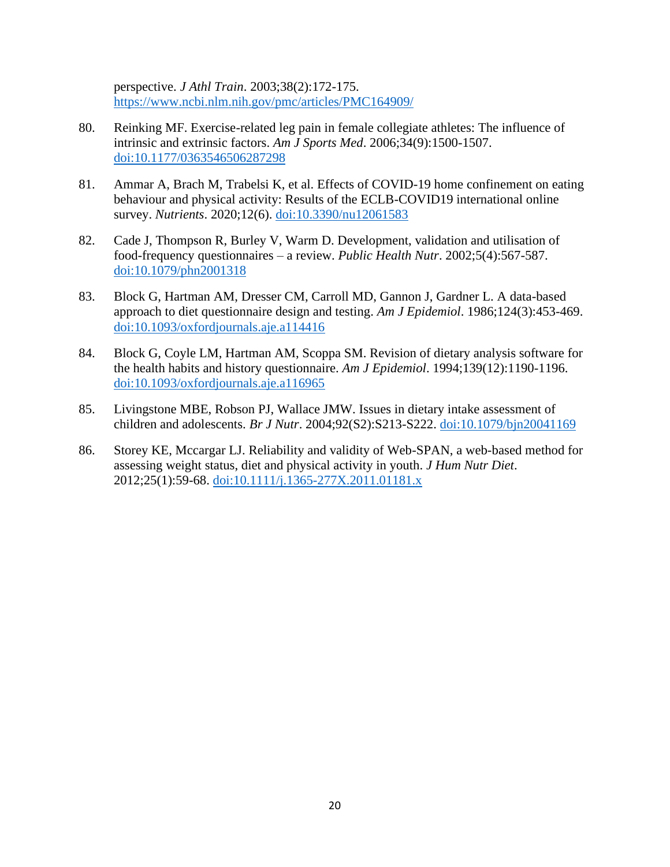perspective. *J Athl Train*. 2003;38(2):172-175. <https://www.ncbi.nlm.nih.gov/pmc/articles/PMC164909/>

- 80. Reinking MF. Exercise-related leg pain in female collegiate athletes: The influence of intrinsic and extrinsic factors. *Am J Sports Med*. 2006;34(9):1500-1507. [doi:10.1177/0363546506287298](https://pubmed.ncbi.nlm.nih.gov/16636349/)
- 81. Ammar A, Brach M, Trabelsi K, et al. Effects of COVID-19 home confinement on eating behaviour and physical activity: Results of the ECLB-COVID19 international online survey. *Nutrients*. 2020;12(6). [doi:10.3390/nu12061583](https://pubmed.ncbi.nlm.nih.gov/32481594/)
- 82. Cade J, Thompson R, Burley V, Warm D. Development, validation and utilisation of food-frequency questionnaires – a review. *Public Health Nutr*. 2002;5(4):567-587. [doi:10.1079/phn2001318](https://pubmed.ncbi.nlm.nih.gov/12186666/)
- 83. Block G, Hartman AM, Dresser CM, Carroll MD, Gannon J, Gardner L. A data-based approach to diet questionnaire design and testing. *Am J Epidemiol*. 1986;124(3):453-469. [doi:10.1093/oxfordjournals.aje.a114416](https://pubmed.ncbi.nlm.nih.gov/3740045/)
- 84. Block G, Coyle LM, Hartman AM, Scoppa SM. Revision of dietary analysis software for the health habits and history questionnaire. *Am J Epidemiol*. 1994;139(12):1190-1196. [doi:10.1093/oxfordjournals.aje.a116965](https://pubmed.ncbi.nlm.nih.gov/8209877/)
- 85. Livingstone MBE, Robson PJ, Wallace JMW. Issues in dietary intake assessment of children and adolescents. *Br J Nutr*. 2004;92(S2):S213-S222. [doi:10.1079/bjn20041169](https://pubmed.ncbi.nlm.nih.gov/15522159/)
- 86. Storey KE, Mccargar LJ. Reliability and validity of Web-SPAN, a web-based method for assessing weight status, diet and physical activity in youth. *J Hum Nutr Diet*. 2012;25(1):59-68. [doi:10.1111/j.1365-277X.2011.01181.x](https://pubmed.ncbi.nlm.nih.gov/21615806/)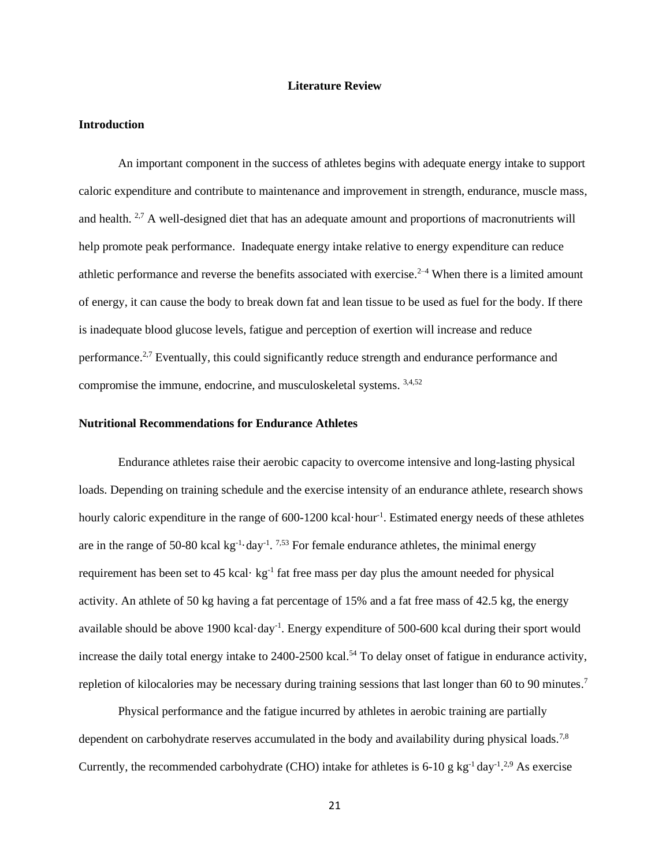#### **Literature Review**

#### **Introduction**

An important component in the success of athletes begins with adequate energy intake to support caloric expenditure and contribute to maintenance and improvement in strength, endurance, muscle mass, and health. <sup>2,7</sup> A well-designed diet that has an adequate amount and proportions of macronutrients will help promote peak performance. Inadequate energy intake relative to energy expenditure can reduce athletic performance and reverse the benefits associated with exercise.<sup>2–4</sup> When there is a limited amount of energy, it can cause the body to break down fat and lean tissue to be used as fuel for the body. If there is inadequate blood glucose levels, fatigue and perception of exertion will increase and reduce performance.2,7 Eventually, this could significantly reduce strength and endurance performance and compromise the immune, endocrine, and musculoskeletal systems. 3,4,52

#### **Nutritional Recommendations for Endurance Athletes**

Endurance athletes raise their aerobic capacity to overcome intensive and long-lasting physical loads. Depending on training schedule and the exercise intensity of an endurance athlete, research shows hourly caloric expenditure in the range of 600-1200 kcal·hour<sup>-1</sup>. Estimated energy needs of these athletes are in the range of 50-80 kcal  $kg^{-1}$  day<sup>-1</sup>. <sup>7,53</sup> For female endurance athletes, the minimal energy requirement has been set to  $45$  kcal $\cdot$  kg<sup>-1</sup> fat free mass per day plus the amount needed for physical activity. An athlete of 50 kg having a fat percentage of 15% and a fat free mass of 42.5 kg, the energy available should be above 1900 kcal·day<sup>-1</sup>. Energy expenditure of 500-600 kcal during their sport would increase the daily total energy intake to 2400-2500 kcal.<sup>54</sup> To delay onset of fatigue in endurance activity, repletion of kilocalories may be necessary during training sessions that last longer than 60 to 90 minutes.<sup>7</sup>

Physical performance and the fatigue incurred by athletes in aerobic training are partially dependent on carbohydrate reserves accumulated in the body and availability during physical loads.<sup>7,8</sup> Currently, the recommended carbohydrate (CHO) intake for athletes is 6-10 g kg<sup>-1</sup> day<sup>-1</sup>.<sup>2,9</sup> As exercise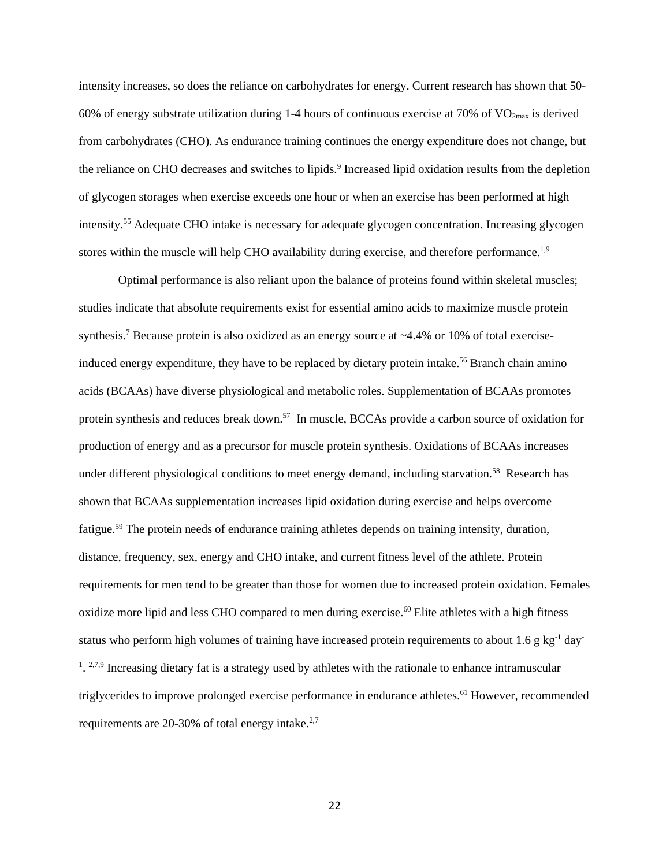intensity increases, so does the reliance on carbohydrates for energy. Current research has shown that 50- 60% of energy substrate utilization during 1-4 hours of continuous exercise at 70% of  $VO<sub>2max</sub>$  is derived from carbohydrates (CHO). As endurance training continues the energy expenditure does not change, but the reliance on CHO decreases and switches to lipids.<sup>9</sup> Increased lipid oxidation results from the depletion of glycogen storages when exercise exceeds one hour or when an exercise has been performed at high intensity. <sup>55</sup> Adequate CHO intake is necessary for adequate glycogen concentration. Increasing glycogen stores within the muscle will help CHO availability during exercise, and therefore performance.<sup>1,9</sup>

Optimal performance is also reliant upon the balance of proteins found within skeletal muscles; studies indicate that absolute requirements exist for essential amino acids to maximize muscle protein synthesis.<sup>7</sup> Because protein is also oxidized as an energy source at  $\sim$  4.4% or 10% of total exerciseinduced energy expenditure, they have to be replaced by dietary protein intake.<sup>56</sup> Branch chain amino acids (BCAAs) have diverse physiological and metabolic roles. Supplementation of BCAAs promotes protein synthesis and reduces break down.<sup>57</sup> In muscle, BCCAs provide a carbon source of oxidation for production of energy and as a precursor for muscle protein synthesis. Oxidations of BCAAs increases under different physiological conditions to meet energy demand, including starvation.<sup>58</sup> Research has shown that BCAAs supplementation increases lipid oxidation during exercise and helps overcome fatigue.<sup>59</sup> The protein needs of endurance training athletes depends on training intensity, duration, distance, frequency, sex, energy and CHO intake, and current fitness level of the athlete. Protein requirements for men tend to be greater than those for women due to increased protein oxidation. Females oxidize more lipid and less CHO compared to men during exercise. <sup>60</sup> Elite athletes with a high fitness status who perform high volumes of training have increased protein requirements to about 1.6 g kg<sup>-1</sup> day-<sup>1</sup>.<sup>2,7,9</sup> Increasing dietary fat is a strategy used by athletes with the rationale to enhance intramuscular triglycerides to improve prolonged exercise performance in endurance athletes.<sup>61</sup> However, recommended requirements are 20-30% of total energy intake.<sup>2,7</sup>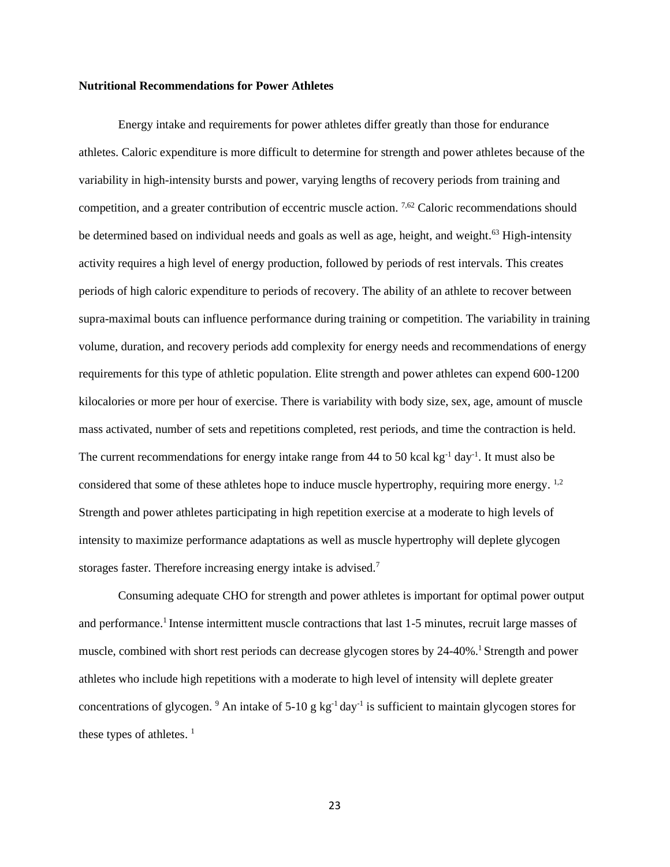#### **Nutritional Recommendations for Power Athletes**

Energy intake and requirements for power athletes differ greatly than those for endurance athletes. Caloric expenditure is more difficult to determine for strength and power athletes because of the variability in high-intensity bursts and power, varying lengths of recovery periods from training and competition, and a greater contribution of eccentric muscle action. 7,62 Caloric recommendations should be determined based on individual needs and goals as well as age, height, and weight.<sup>63</sup> High-intensity activity requires a high level of energy production, followed by periods of rest intervals. This creates periods of high caloric expenditure to periods of recovery. The ability of an athlete to recover between supra-maximal bouts can influence performance during training or competition. The variability in training volume, duration, and recovery periods add complexity for energy needs and recommendations of energy requirements for this type of athletic population. Elite strength and power athletes can expend 600-1200 kilocalories or more per hour of exercise. There is variability with body size, sex, age, amount of muscle mass activated, number of sets and repetitions completed, rest periods, and time the contraction is held. The current recommendations for energy intake range from 44 to 50 kcal kg<sup>-1</sup> day<sup>-1</sup>. It must also be considered that some of these athletes hope to induce muscle hypertrophy, requiring more energy. <sup>1,2</sup> Strength and power athletes participating in high repetition exercise at a moderate to high levels of intensity to maximize performance adaptations as well as muscle hypertrophy will deplete glycogen storages faster. Therefore increasing energy intake is advised.<sup>7</sup>

Consuming adequate CHO for strength and power athletes is important for optimal power output and performance.<sup>1</sup> Intense intermittent muscle contractions that last 1-5 minutes, recruit large masses of muscle, combined with short rest periods can decrease glycogen stores by 24-40%.<sup>1</sup> Strength and power athletes who include high repetitions with a moderate to high level of intensity will deplete greater concentrations of glycogen. <sup>9</sup> An intake of 5-10 g  $kg^{-1}$  day<sup>-1</sup> is sufficient to maintain glycogen stores for these types of athletes.  $<sup>1</sup>$ </sup>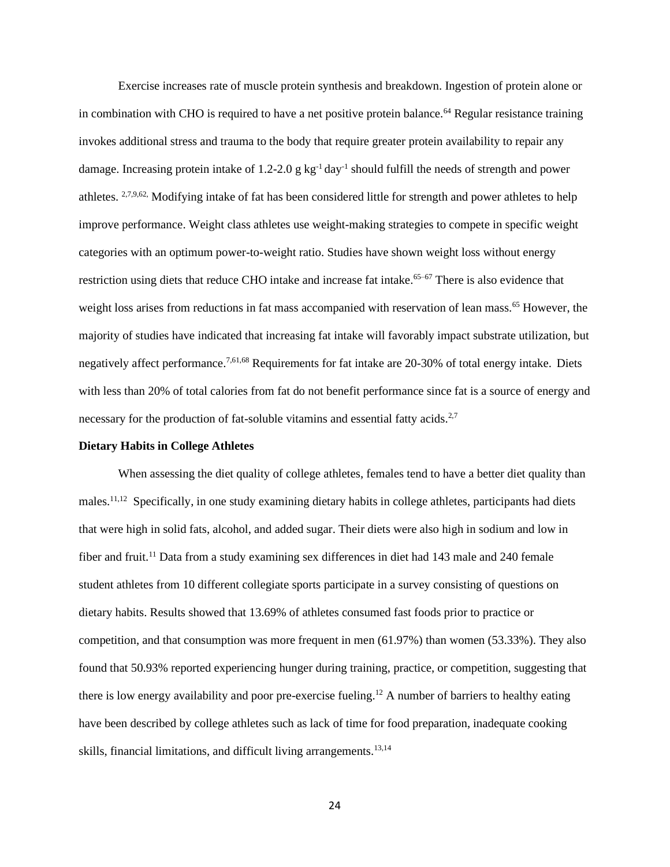Exercise increases rate of muscle protein synthesis and breakdown. Ingestion of protein alone or in combination with CHO is required to have a net positive protein balance.<sup>64</sup> Regular resistance training invokes additional stress and trauma to the body that require greater protein availability to repair any damage. Increasing protein intake of 1.2-2.0 g  $kg^{-1}$  day<sup>-1</sup> should fulfill the needs of strength and power athletes. 2,7,9,62, Modifying intake of fat has been considered little for strength and power athletes to help improve performance. Weight class athletes use weight-making strategies to compete in specific weight categories with an optimum power-to-weight ratio. Studies have shown weight loss without energy restriction using diets that reduce CHO intake and increase fat intake.<sup>65–67</sup> There is also evidence that weight loss arises from reductions in fat mass accompanied with reservation of lean mass.<sup>65</sup> However, the majority of studies have indicated that increasing fat intake will favorably impact substrate utilization, but negatively affect performance.7,61,68 Requirements for fat intake are 20-30% of total energy intake. Diets with less than 20% of total calories from fat do not benefit performance since fat is a source of energy and necessary for the production of fat-soluble vitamins and essential fatty acids.<sup>2,7</sup>

#### **Dietary Habits in College Athletes**

When assessing the diet quality of college athletes, females tend to have a better diet quality than males.<sup>11,12</sup> Specifically, in one study examining dietary habits in college athletes, participants had diets that were high in solid fats, alcohol, and added sugar. Their diets were also high in sodium and low in fiber and fruit.<sup>11</sup> Data from a study examining sex differences in diet had 143 male and 240 female student athletes from 10 different collegiate sports participate in a survey consisting of questions on dietary habits. Results showed that 13.69% of athletes consumed fast foods prior to practice or competition, and that consumption was more frequent in men (61.97%) than women (53.33%). They also found that 50.93% reported experiencing hunger during training, practice, or competition, suggesting that there is low energy availability and poor pre-exercise fueling.<sup>12</sup> A number of barriers to healthy eating have been described by college athletes such as lack of time for food preparation, inadequate cooking skills, financial limitations, and difficult living arrangements.<sup>13,14</sup>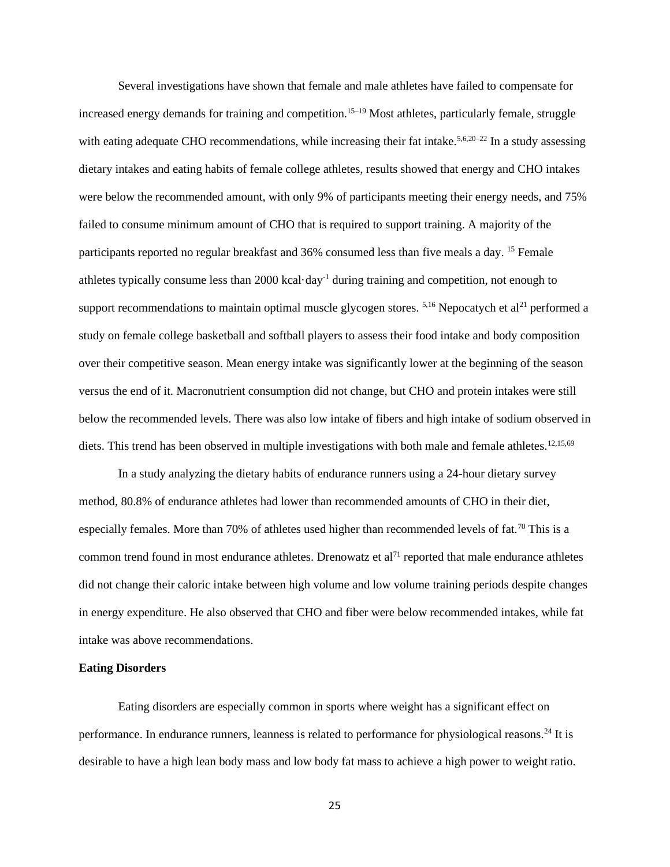Several investigations have shown that female and male athletes have failed to compensate for increased energy demands for training and competition.<sup>15–19</sup> Most athletes, particularly female, struggle with eating adequate CHO recommendations, while increasing their fat intake.<sup>5,6,20–22</sup> In a study assessing dietary intakes and eating habits of female college athletes, results showed that energy and CHO intakes were below the recommended amount, with only 9% of participants meeting their energy needs, and 75% failed to consume minimum amount of CHO that is required to support training. A majority of the participants reported no regular breakfast and 36% consumed less than five meals a day. <sup>15</sup> Female athletes typically consume less than 2000 kcal·day-1 during training and competition, not enough to support recommendations to maintain optimal muscle glycogen stores.  $5,16$  Nepocatych et al<sup>21</sup> performed a study on female college basketball and softball players to assess their food intake and body composition over their competitive season. Mean energy intake was significantly lower at the beginning of the season versus the end of it. Macronutrient consumption did not change, but CHO and protein intakes were still below the recommended levels. There was also low intake of fibers and high intake of sodium observed in diets. This trend has been observed in multiple investigations with both male and female athletes.<sup>12,15,69</sup>

In a study analyzing the dietary habits of endurance runners using a 24-hour dietary survey method, 80.8% of endurance athletes had lower than recommended amounts of CHO in their diet, especially females. More than 70% of athletes used higher than recommended levels of fat.<sup>70</sup> This is a common trend found in most endurance athletes. Drenowatz et  $al<sup>71</sup>$  reported that male endurance athletes did not change their caloric intake between high volume and low volume training periods despite changes in energy expenditure. He also observed that CHO and fiber were below recommended intakes, while fat intake was above recommendations.

#### **Eating Disorders**

Eating disorders are especially common in sports where weight has a significant effect on performance. In endurance runners, leanness is related to performance for physiological reasons.<sup>24</sup> It is desirable to have a high lean body mass and low body fat mass to achieve a high power to weight ratio.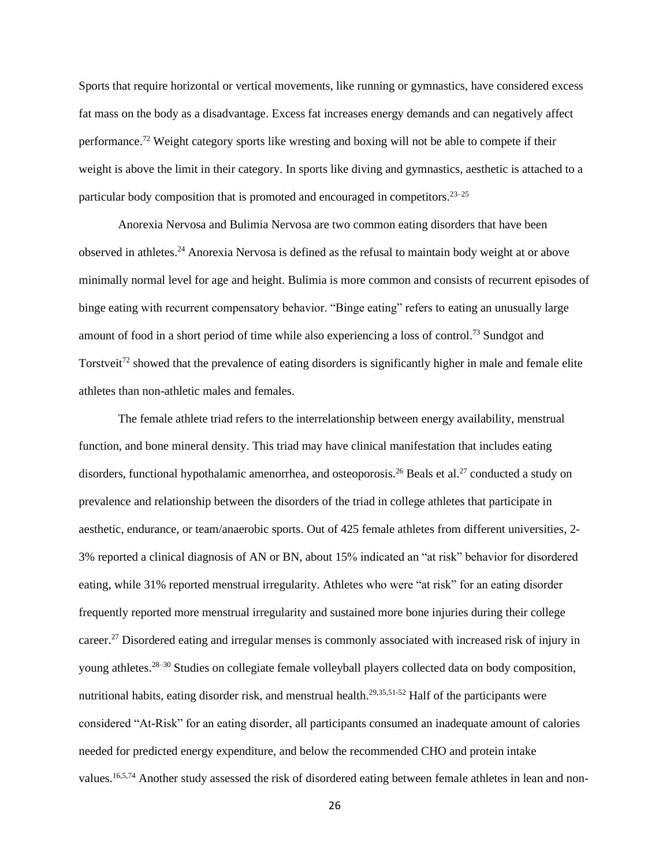Sports that require horizontal or vertical movements, like running or gymnastics, have considered excess fat mass on the body as a disadvantage. Excess fat increases energy demands and can negatively affect performance.<sup>72</sup> Weight category sports like wresting and boxing will not be able to compete if their weight is above the limit in their category. In sports like diving and gymnastics, aesthetic is attached to a particular body composition that is promoted and encouraged in competitors.23–25

Anorexia Nervosa and Bulimia Nervosa are two common eating disorders that have been observed in athletes.<sup>24</sup> Anorexia Nervosa is defined as the refusal to maintain body weight at or above minimally normal level for age and height. Bulimia is more common and consists of recurrent episodes of binge eating with recurrent compensatory behavior. "Binge eating" refers to eating an unusually large amount of food in a short period of time while also experiencing a loss of control.<sup>73</sup> Sundgot and Torstveit<sup>72</sup> showed that the prevalence of eating disorders is significantly higher in male and female elite athletes than non-athletic males and females.

The female athlete triad refers to the interrelationship between energy availability, menstrual function, and bone mineral density. This triad may have clinical manifestation that includes eating disorders, functional hypothalamic amenorrhea, and osteoporosis.<sup>26</sup> Beals et al.<sup>27</sup> conducted a study on prevalence and relationship between the disorders of the triad in college athletes that participate in aesthetic, endurance, or team/anaerobic sports. Out of 425 female athletes from different universities, 2- 3% reported a clinical diagnosis of AN or BN, about 15% indicated an "at risk" behavior for disordered eating, while 31% reported menstrual irregularity. Athletes who were "at risk" for an eating disorder frequently reported more menstrual irregularity and sustained more bone injuries during their college career.<sup>27</sup> Disordered eating and irregular menses is commonly associated with increased risk of injury in young athletes.28–30 Studies on collegiate female volleyball players collected data on body composition, nutritional habits, eating disorder risk, and menstrual health. $29,35,51-52$  Half of the participants were considered "At-Risk" for an eating disorder, all participants consumed an inadequate amount of calories needed for predicted energy expenditure, and below the recommended CHO and protein intake values.<sup>16,5,74</sup> Another study assessed the risk of disordered eating between female athletes in lean and non-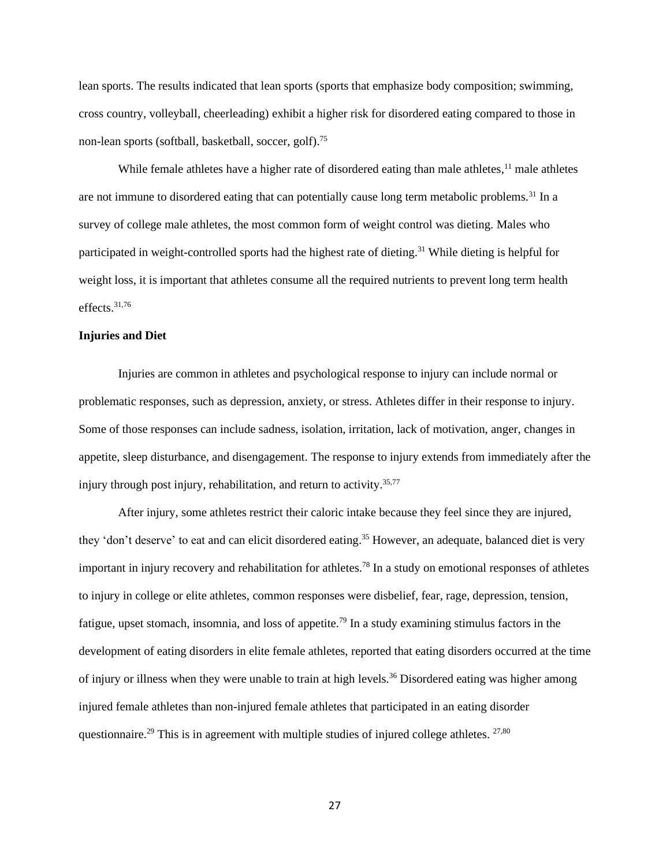lean sports. The results indicated that lean sports (sports that emphasize body composition; swimming, cross country, volleyball, cheerleading) exhibit a higher risk for disordered eating compared to those in non-lean sports (softball, basketball, soccer, golf).<sup>75</sup>

While female athletes have a higher rate of disordered eating than male athletes,<sup>11</sup> male athletes are not immune to disordered eating that can potentially cause long term metabolic problems.<sup>31</sup> In a survey of college male athletes, the most common form of weight control was dieting. Males who participated in weight-controlled sports had the highest rate of dieting.<sup>31</sup> While dieting is helpful for weight loss, it is important that athletes consume all the required nutrients to prevent long term health effects.31,76

#### **Injuries and Diet**

Injuries are common in athletes and psychological response to injury can include normal or problematic responses, such as depression, anxiety, or stress. Athletes differ in their response to injury. Some of those responses can include sadness, isolation, irritation, lack of motivation, anger, changes in appetite, sleep disturbance, and disengagement. The response to injury extends from immediately after the injury through post injury, rehabilitation, and return to activity. 35,77

After injury, some athletes restrict their caloric intake because they feel since they are injured, they 'don't deserve' to eat and can elicit disordered eating.<sup>35</sup> However, an adequate, balanced diet is very important in injury recovery and rehabilitation for athletes.<sup>78</sup> In a study on emotional responses of athletes to injury in college or elite athletes, common responses were disbelief, fear, rage, depression, tension, fatigue, upset stomach, insomnia, and loss of appetite.<sup>79</sup> In a study examining stimulus factors in the development of eating disorders in elite female athletes, reported that eating disorders occurred at the time of injury or illness when they were unable to train at high levels.<sup>36</sup> Disordered eating was higher among injured female athletes than non-injured female athletes that participated in an eating disorder questionnaire.<sup>29</sup> This is in agreement with multiple studies of injured college athletes.  $27,80$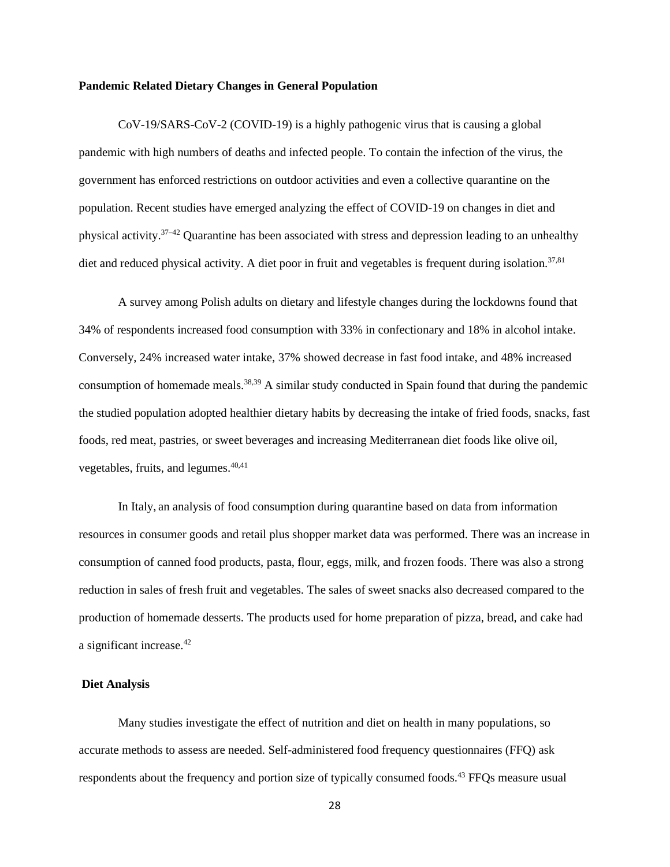#### **Pandemic Related Dietary Changes in General Population**

CoV-19/SARS-CoV-2 (COVID-19) is a highly pathogenic virus that is causing a global pandemic with high numbers of deaths and infected people. To contain the infection of the virus, the government has enforced restrictions on outdoor activities and even a collective quarantine on the population. Recent studies have emerged analyzing the effect of COVID-19 on changes in diet and physical activity. $37-42$  Quarantine has been associated with stress and depression leading to an unhealthy diet and reduced physical activity. A diet poor in fruit and vegetables is frequent during isolation.<sup>37,81</sup>

A survey among Polish adults on dietary and lifestyle changes during the lockdowns found that 34% of respondents increased food consumption with 33% in confectionary and 18% in alcohol intake. Conversely, 24% increased water intake, 37% showed decrease in fast food intake, and 48% increased consumption of homemade meals.<sup>38,39</sup> A similar study conducted in Spain found that during the pandemic the studied population adopted healthier dietary habits by decreasing the intake of fried foods, snacks, fast foods, red meat, pastries, or sweet beverages and increasing Mediterranean diet foods like olive oil, vegetables, fruits, and legumes.<sup>40,41</sup>

In Italy, an analysis of food consumption during quarantine based on data from information resources in consumer goods and retail plus shopper market data was performed. There was an increase in consumption of canned food products, pasta, flour, eggs, milk, and frozen foods. There was also a strong reduction in sales of fresh fruit and vegetables. The sales of sweet snacks also decreased compared to the production of homemade desserts. The products used for home preparation of pizza, bread, and cake had a significant increase.<sup>42</sup>

#### **Diet Analysis**

Many studies investigate the effect of nutrition and diet on health in many populations, so accurate methods to assess are needed. Self-administered food frequency questionnaires (FFQ) ask respondents about the frequency and portion size of typically consumed foods.<sup>43</sup> FFOs measure usual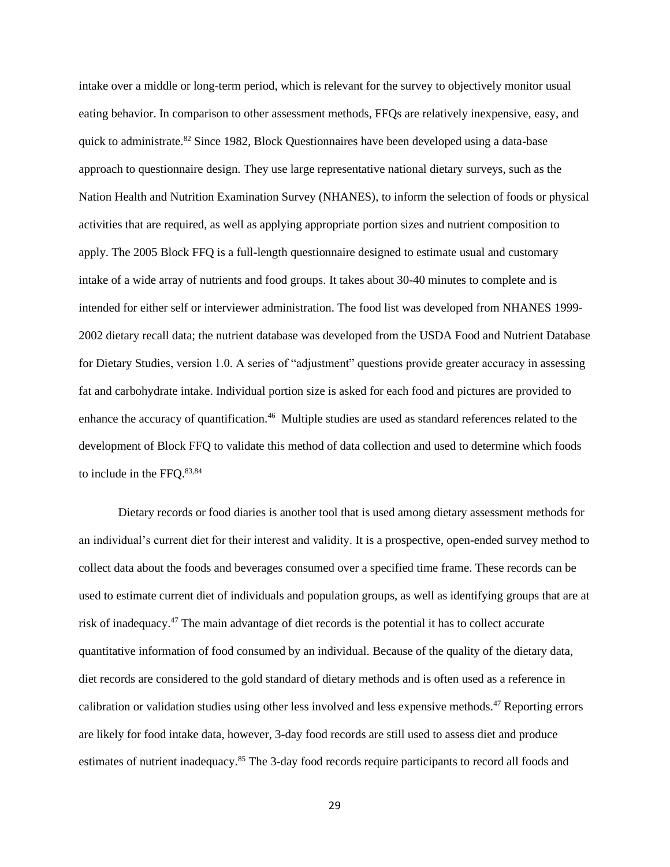intake over a middle or long-term period, which is relevant for the survey to objectively monitor usual eating behavior. In comparison to other assessment methods, FFQs are relatively inexpensive, easy, and quick to administrate.<sup>82</sup> Since 1982, Block Questionnaires have been developed using a data-base approach to questionnaire design. They use large representative national dietary surveys, such as the Nation Health and Nutrition Examination Survey (NHANES), to inform the selection of foods or physical activities that are required, as well as applying appropriate portion sizes and nutrient composition to apply. The 2005 Block FFQ is a full-length questionnaire designed to estimate usual and customary intake of a wide array of nutrients and food groups. It takes about 30-40 minutes to complete and is intended for either self or interviewer administration. The food list was developed from NHANES 1999- 2002 dietary recall data; the nutrient database was developed from the USDA Food and Nutrient Database for Dietary Studies, version 1.0. A series of "adjustment" questions provide greater accuracy in assessing fat and carbohydrate intake. Individual portion size is asked for each food and pictures are provided to enhance the accuracy of quantification.<sup>46</sup> Multiple studies are used as standard references related to the development of Block FFQ to validate this method of data collection and used to determine which foods to include in the FFQ. 83,84

Dietary records or food diaries is another tool that is used among dietary assessment methods for an individual's current diet for their interest and validity. It is a prospective, open-ended survey method to collect data about the foods and beverages consumed over a specified time frame. These records can be used to estimate current diet of individuals and population groups, as well as identifying groups that are at risk of inadequacy.<sup>47</sup> The main advantage of diet records is the potential it has to collect accurate quantitative information of food consumed by an individual. Because of the quality of the dietary data, diet records are considered to the gold standard of dietary methods and is often used as a reference in calibration or validation studies using other less involved and less expensive methods.<sup>47</sup> Reporting errors are likely for food intake data, however, 3-day food records are still used to assess diet and produce estimates of nutrient inadequacy.<sup>85</sup> The 3-day food records require participants to record all foods and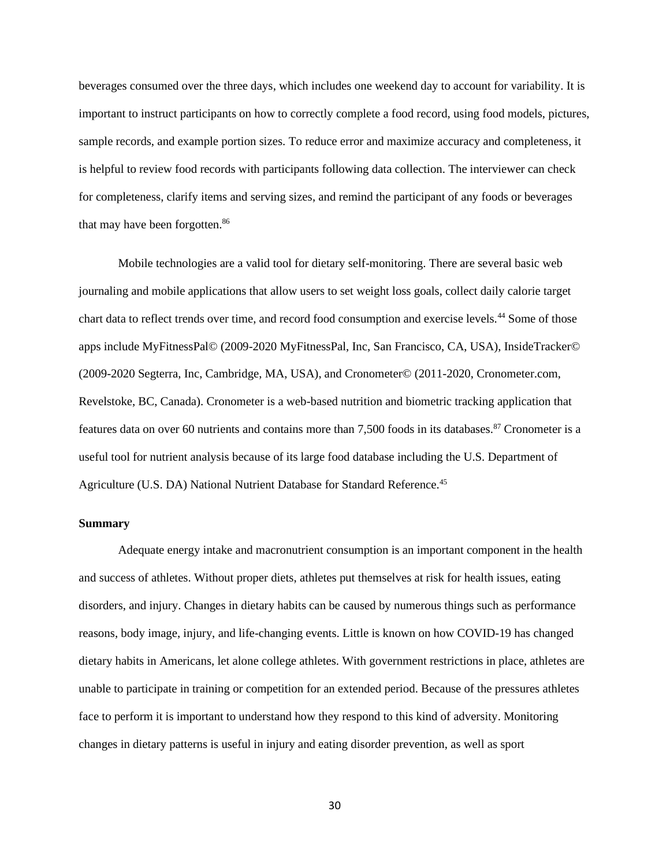beverages consumed over the three days, which includes one weekend day to account for variability. It is important to instruct participants on how to correctly complete a food record, using food models, pictures, sample records, and example portion sizes. To reduce error and maximize accuracy and completeness, it is helpful to review food records with participants following data collection. The interviewer can check for completeness, clarify items and serving sizes, and remind the participant of any foods or beverages that may have been forgotten.<sup>86</sup>

Mobile technologies are a valid tool for dietary self-monitoring. There are several basic web journaling and mobile applications that allow users to set weight loss goals, collect daily calorie target chart data to reflect trends over time, and record food consumption and exercise levels.<sup>44</sup> Some of those apps include MyFitnessPal© (2009-2020 MyFitnessPal, Inc, San Francisco, CA, USA), InsideTracker© (2009-2020 Segterra, Inc, Cambridge, MA, USA), and Cronometer© (2011-2020, Cronometer.com, Revelstoke, BC, Canada). Cronometer is a web-based nutrition and biometric tracking application that features data on over 60 nutrients and contains more than 7,500 foods in its databases.<sup>87</sup> Cronometer is a useful tool for nutrient analysis because of its large food database including the U.S. Department of Agriculture (U.S. DA) National Nutrient Database for Standard Reference.<sup>45</sup>

#### **Summary**

Adequate energy intake and macronutrient consumption is an important component in the health and success of athletes. Without proper diets, athletes put themselves at risk for health issues, eating disorders, and injury. Changes in dietary habits can be caused by numerous things such as performance reasons, body image, injury, and life-changing events. Little is known on how COVID-19 has changed dietary habits in Americans, let alone college athletes. With government restrictions in place, athletes are unable to participate in training or competition for an extended period. Because of the pressures athletes face to perform it is important to understand how they respond to this kind of adversity. Monitoring changes in dietary patterns is useful in injury and eating disorder prevention, as well as sport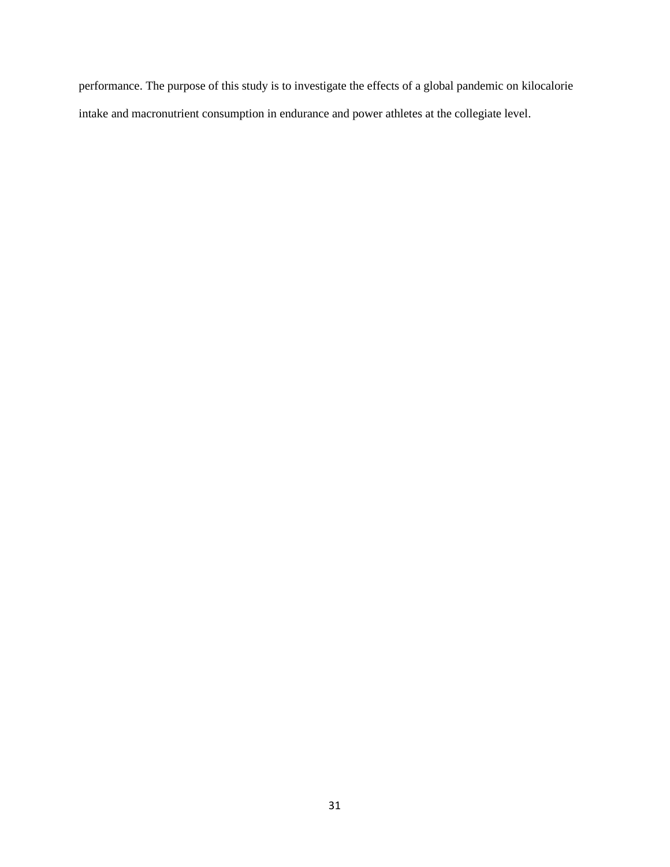performance. The purpose of this study is to investigate the effects of a global pandemic on kilocalorie intake and macronutrient consumption in endurance and power athletes at the collegiate level.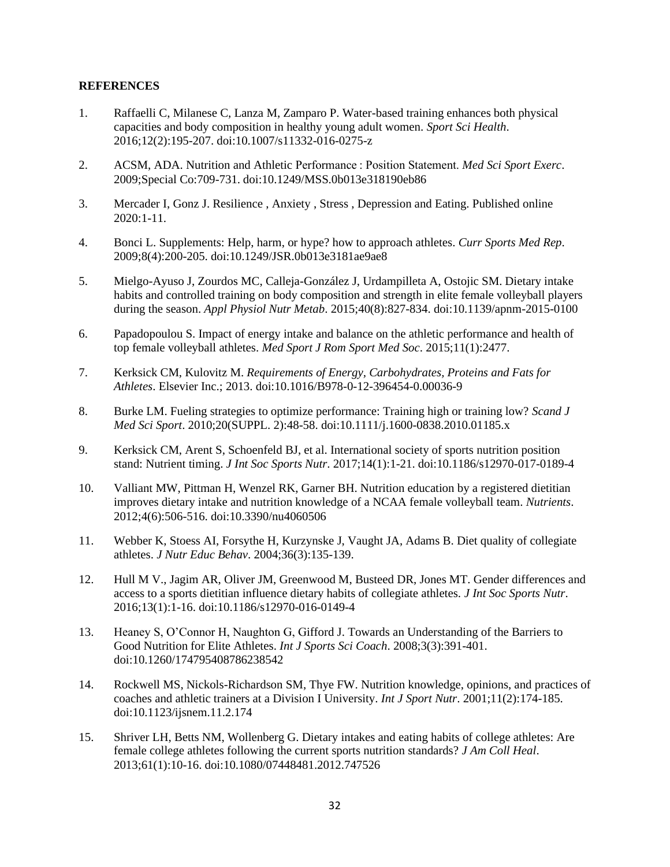#### **REFERENCES**

- 1. Raffaelli C, Milanese C, Lanza M, Zamparo P. Water-based training enhances both physical capacities and body composition in healthy young adult women. *Sport Sci Health*. 2016;12(2):195-207. doi:10.1007/s11332-016-0275-z
- 2. ACSM, ADA. Nutrition and Athletic Performance : Position Statement. *Med Sci Sport Exerc*. 2009;Special Co:709-731. doi:10.1249/MSS.0b013e318190eb86
- 3. Mercader I, Gonz J. Resilience , Anxiety , Stress , Depression and Eating. Published online  $2020:1-11$ .
- 4. Bonci L. Supplements: Help, harm, or hype? how to approach athletes. *Curr Sports Med Rep*. 2009;8(4):200-205. doi:10.1249/JSR.0b013e3181ae9ae8
- 5. Mielgo-Ayuso J, Zourdos MC, Calleja-González J, Urdampilleta A, Ostojic SM. Dietary intake habits and controlled training on body composition and strength in elite female volleyball players during the season. *Appl Physiol Nutr Metab*. 2015;40(8):827-834. doi:10.1139/apnm-2015-0100
- 6. Papadopoulou S. Impact of energy intake and balance on the athletic performance and health of top female volleyball athletes. *Med Sport J Rom Sport Med Soc*. 2015;11(1):2477.
- 7. Kerksick CM, Kulovitz M. *Requirements of Energy, Carbohydrates, Proteins and Fats for Athletes*. Elsevier Inc.; 2013. doi:10.1016/B978-0-12-396454-0.00036-9
- 8. Burke LM. Fueling strategies to optimize performance: Training high or training low? *Scand J Med Sci Sport*. 2010;20(SUPPL. 2):48-58. doi:10.1111/j.1600-0838.2010.01185.x
- 9. Kerksick CM, Arent S, Schoenfeld BJ, et al. International society of sports nutrition position stand: Nutrient timing. *J Int Soc Sports Nutr*. 2017;14(1):1-21. doi:10.1186/s12970-017-0189-4
- 10. Valliant MW, Pittman H, Wenzel RK, Garner BH. Nutrition education by a registered dietitian improves dietary intake and nutrition knowledge of a NCAA female volleyball team. *Nutrients*. 2012;4(6):506-516. doi:10.3390/nu4060506
- 11. Webber K, Stoess AI, Forsythe H, Kurzynske J, Vaught JA, Adams B. Diet quality of collegiate athletes. *J Nutr Educ Behav*. 2004;36(3):135-139.
- 12. Hull M V., Jagim AR, Oliver JM, Greenwood M, Busteed DR, Jones MT. Gender differences and access to a sports dietitian influence dietary habits of collegiate athletes. *J Int Soc Sports Nutr*. 2016;13(1):1-16. doi:10.1186/s12970-016-0149-4
- 13. Heaney S, O'Connor H, Naughton G, Gifford J. Towards an Understanding of the Barriers to Good Nutrition for Elite Athletes. *Int J Sports Sci Coach*. 2008;3(3):391-401. doi:10.1260/174795408786238542
- 14. Rockwell MS, Nickols-Richardson SM, Thye FW. Nutrition knowledge, opinions, and practices of coaches and athletic trainers at a Division I University. *Int J Sport Nutr*. 2001;11(2):174-185. doi:10.1123/ijsnem.11.2.174
- 15. Shriver LH, Betts NM, Wollenberg G. Dietary intakes and eating habits of college athletes: Are female college athletes following the current sports nutrition standards? *J Am Coll Heal*. 2013;61(1):10-16. doi:10.1080/07448481.2012.747526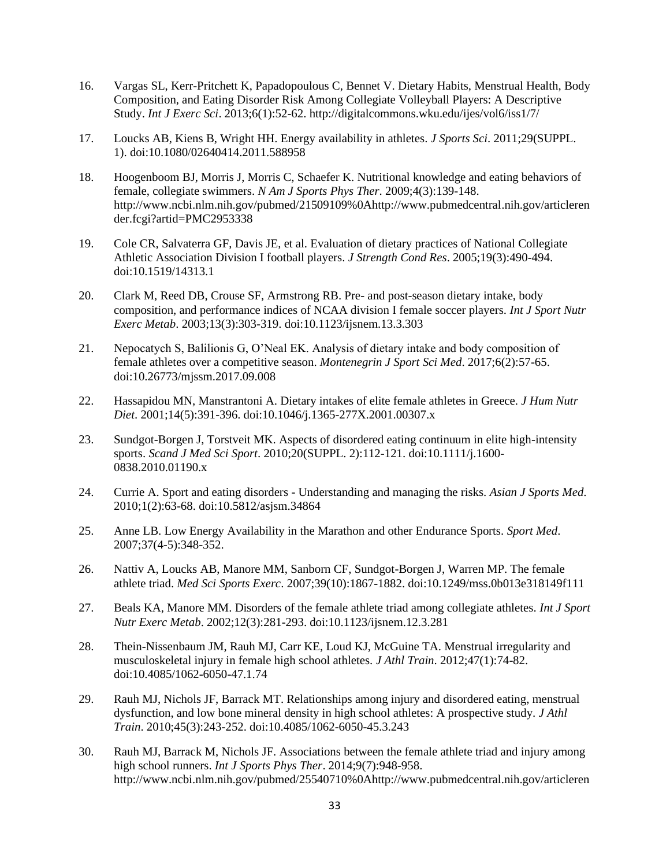- 16. Vargas SL, Kerr-Pritchett K, Papadopoulous C, Bennet V. Dietary Habits, Menstrual Health, Body Composition, and Eating Disorder Risk Among Collegiate Volleyball Players: A Descriptive Study. *Int J Exerc Sci*. 2013;6(1):52-62. http://digitalcommons.wku.edu/ijes/vol6/iss1/7/
- 17. Loucks AB, Kiens B, Wright HH. Energy availability in athletes. *J Sports Sci*. 2011;29(SUPPL. 1). doi:10.1080/02640414.2011.588958
- 18. Hoogenboom BJ, Morris J, Morris C, Schaefer K. Nutritional knowledge and eating behaviors of female, collegiate swimmers. *N Am J Sports Phys Ther*. 2009;4(3):139-148. http://www.ncbi.nlm.nih.gov/pubmed/21509109%0Ahttp://www.pubmedcentral.nih.gov/articleren der.fcgi?artid=PMC2953338
- 19. Cole CR, Salvaterra GF, Davis JE, et al. Evaluation of dietary practices of National Collegiate Athletic Association Division I football players. *J Strength Cond Res*. 2005;19(3):490-494. doi:10.1519/14313.1
- 20. Clark M, Reed DB, Crouse SF, Armstrong RB. Pre- and post-season dietary intake, body composition, and performance indices of NCAA division I female soccer players. *Int J Sport Nutr Exerc Metab*. 2003;13(3):303-319. doi:10.1123/ijsnem.13.3.303
- 21. Nepocatych S, Balilionis G, O'Neal EK. Analysis of dietary intake and body composition of female athletes over a competitive season. *Montenegrin J Sport Sci Med*. 2017;6(2):57-65. doi:10.26773/mjssm.2017.09.008
- 22. Hassapidou MN, Manstrantoni A. Dietary intakes of elite female athletes in Greece. *J Hum Nutr Diet*. 2001;14(5):391-396. doi:10.1046/j.1365-277X.2001.00307.x
- 23. Sundgot-Borgen J, Torstveit MK. Aspects of disordered eating continuum in elite high-intensity sports. *Scand J Med Sci Sport*. 2010;20(SUPPL. 2):112-121. doi:10.1111/j.1600- 0838.2010.01190.x
- 24. Currie A. Sport and eating disorders Understanding and managing the risks. *Asian J Sports Med*. 2010;1(2):63-68. doi:10.5812/asjsm.34864
- 25. Anne LB. Low Energy Availability in the Marathon and other Endurance Sports. *Sport Med*. 2007;37(4-5):348-352.
- 26. Nattiv A, Loucks AB, Manore MM, Sanborn CF, Sundgot-Borgen J, Warren MP. The female athlete triad. *Med Sci Sports Exerc*. 2007;39(10):1867-1882. doi:10.1249/mss.0b013e318149f111
- 27. Beals KA, Manore MM. Disorders of the female athlete triad among collegiate athletes. *Int J Sport Nutr Exerc Metab*. 2002;12(3):281-293. doi:10.1123/ijsnem.12.3.281
- 28. Thein-Nissenbaum JM, Rauh MJ, Carr KE, Loud KJ, McGuine TA. Menstrual irregularity and musculoskeletal injury in female high school athletes. *J Athl Train*. 2012;47(1):74-82. doi:10.4085/1062-6050-47.1.74
- 29. Rauh MJ, Nichols JF, Barrack MT. Relationships among injury and disordered eating, menstrual dysfunction, and low bone mineral density in high school athletes: A prospective study. *J Athl Train*. 2010;45(3):243-252. doi:10.4085/1062-6050-45.3.243
- 30. Rauh MJ, Barrack M, Nichols JF. Associations between the female athlete triad and injury among high school runners. *Int J Sports Phys Ther*. 2014;9(7):948-958. http://www.ncbi.nlm.nih.gov/pubmed/25540710%0Ahttp://www.pubmedcentral.nih.gov/articleren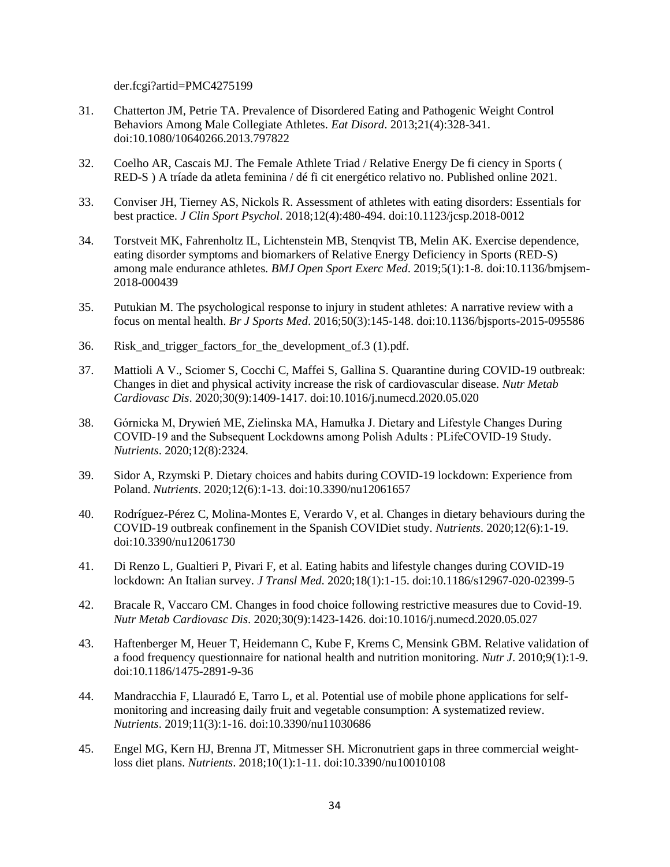der.fcgi?artid=PMC4275199

- 31. Chatterton JM, Petrie TA. Prevalence of Disordered Eating and Pathogenic Weight Control Behaviors Among Male Collegiate Athletes. *Eat Disord*. 2013;21(4):328-341. doi:10.1080/10640266.2013.797822
- 32. Coelho AR, Cascais MJ. The Female Athlete Triad / Relative Energy De fi ciency in Sports ( RED-S ) A tríade da atleta feminina / dé fi cit energético relativo no. Published online 2021.
- 33. Conviser JH, Tierney AS, Nickols R. Assessment of athletes with eating disorders: Essentials for best practice. *J Clin Sport Psychol*. 2018;12(4):480-494. doi:10.1123/jcsp.2018-0012
- 34. Torstveit MK, Fahrenholtz IL, Lichtenstein MB, Stenqvist TB, Melin AK. Exercise dependence, eating disorder symptoms and biomarkers of Relative Energy Deficiency in Sports (RED-S) among male endurance athletes. *BMJ Open Sport Exerc Med*. 2019;5(1):1-8. doi:10.1136/bmjsem-2018-000439
- 35. Putukian M. The psychological response to injury in student athletes: A narrative review with a focus on mental health. *Br J Sports Med*. 2016;50(3):145-148. doi:10.1136/bjsports-2015-095586
- 36. Risk and trigger factors for the development of 3 (1).pdf.
- 37. Mattioli A V., Sciomer S, Cocchi C, Maffei S, Gallina S. Quarantine during COVID-19 outbreak: Changes in diet and physical activity increase the risk of cardiovascular disease. *Nutr Metab Cardiovasc Dis*. 2020;30(9):1409-1417. doi:10.1016/j.numecd.2020.05.020
- 38. Górnicka M, Drywień ME, Zielinska MA, Hamułka J. Dietary and Lifestyle Changes During COVID-19 and the Subsequent Lockdowns among Polish Adults : PLifeCOVID-19 Study. *Nutrients*. 2020;12(8):2324.
- 39. Sidor A, Rzymski P. Dietary choices and habits during COVID-19 lockdown: Experience from Poland. *Nutrients*. 2020;12(6):1-13. doi:10.3390/nu12061657
- 40. Rodríguez-Pérez C, Molina-Montes E, Verardo V, et al. Changes in dietary behaviours during the COVID-19 outbreak confinement in the Spanish COVIDiet study. *Nutrients*. 2020;12(6):1-19. doi:10.3390/nu12061730
- 41. Di Renzo L, Gualtieri P, Pivari F, et al. Eating habits and lifestyle changes during COVID-19 lockdown: An Italian survey. *J Transl Med*. 2020;18(1):1-15. doi:10.1186/s12967-020-02399-5
- 42. Bracale R, Vaccaro CM. Changes in food choice following restrictive measures due to Covid-19. *Nutr Metab Cardiovasc Dis*. 2020;30(9):1423-1426. doi:10.1016/j.numecd.2020.05.027
- 43. Haftenberger M, Heuer T, Heidemann C, Kube F, Krems C, Mensink GBM. Relative validation of a food frequency questionnaire for national health and nutrition monitoring. *Nutr J*. 2010;9(1):1-9. doi:10.1186/1475-2891-9-36
- 44. Mandracchia F, Llauradó E, Tarro L, et al. Potential use of mobile phone applications for selfmonitoring and increasing daily fruit and vegetable consumption: A systematized review. *Nutrients*. 2019;11(3):1-16. doi:10.3390/nu11030686
- 45. Engel MG, Kern HJ, Brenna JT, Mitmesser SH. Micronutrient gaps in three commercial weightloss diet plans. *Nutrients*. 2018;10(1):1-11. doi:10.3390/nu10010108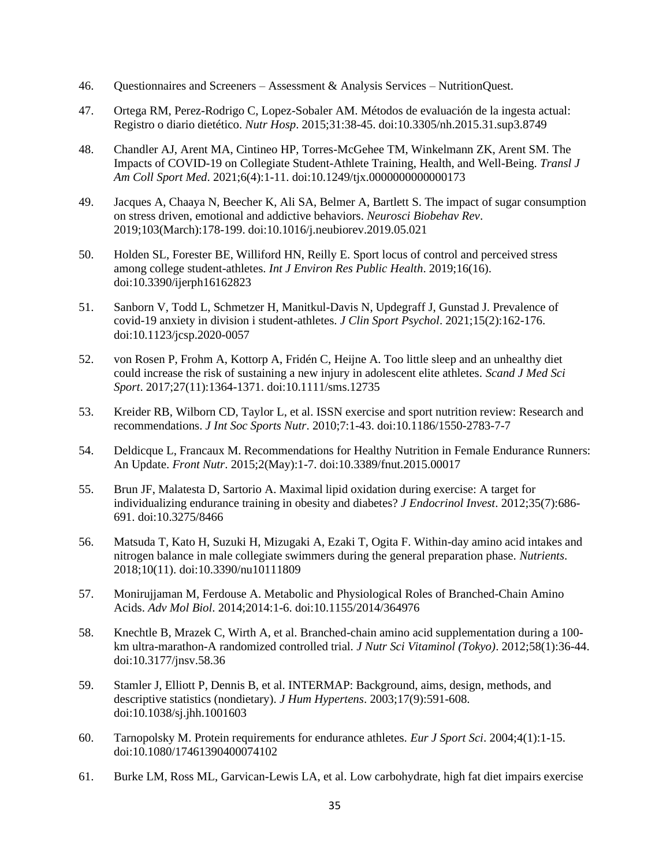- 46. Questionnaires and Screeners Assessment & Analysis Services NutritionQuest.
- 47. Ortega RM, Perez-Rodrigo C, Lopez-Sobaler AM. Métodos de evaluación de la ingesta actual: Registro o diario dietético. *Nutr Hosp*. 2015;31:38-45. doi:10.3305/nh.2015.31.sup3.8749
- 48. Chandler AJ, Arent MA, Cintineo HP, Torres-McGehee TM, Winkelmann ZK, Arent SM. The Impacts of COVID-19 on Collegiate Student-Athlete Training, Health, and Well-Being. *Transl J Am Coll Sport Med*. 2021;6(4):1-11. doi:10.1249/tjx.0000000000000173
- 49. Jacques A, Chaaya N, Beecher K, Ali SA, Belmer A, Bartlett S. The impact of sugar consumption on stress driven, emotional and addictive behaviors. *Neurosci Biobehav Rev*. 2019;103(March):178-199. doi:10.1016/j.neubiorev.2019.05.021
- 50. Holden SL, Forester BE, Williford HN, Reilly E. Sport locus of control and perceived stress among college student-athletes. *Int J Environ Res Public Health*. 2019;16(16). doi:10.3390/ijerph16162823
- 51. Sanborn V, Todd L, Schmetzer H, Manitkul-Davis N, Updegraff J, Gunstad J. Prevalence of covid-19 anxiety in division i student-athletes. *J Clin Sport Psychol*. 2021;15(2):162-176. doi:10.1123/jcsp.2020-0057
- 52. von Rosen P, Frohm A, Kottorp A, Fridén C, Heijne A. Too little sleep and an unhealthy diet could increase the risk of sustaining a new injury in adolescent elite athletes. *Scand J Med Sci Sport*. 2017;27(11):1364-1371. doi:10.1111/sms.12735
- 53. Kreider RB, Wilborn CD, Taylor L, et al. ISSN exercise and sport nutrition review: Research and recommendations. *J Int Soc Sports Nutr*. 2010;7:1-43. doi:10.1186/1550-2783-7-7
- 54. Deldicque L, Francaux M. Recommendations for Healthy Nutrition in Female Endurance Runners: An Update. *Front Nutr*. 2015;2(May):1-7. doi:10.3389/fnut.2015.00017
- 55. Brun JF, Malatesta D, Sartorio A. Maximal lipid oxidation during exercise: A target for individualizing endurance training in obesity and diabetes? *J Endocrinol Invest*. 2012;35(7):686- 691. doi:10.3275/8466
- 56. Matsuda T, Kato H, Suzuki H, Mizugaki A, Ezaki T, Ogita F. Within-day amino acid intakes and nitrogen balance in male collegiate swimmers during the general preparation phase. *Nutrients*. 2018;10(11). doi:10.3390/nu10111809
- 57. Monirujjaman M, Ferdouse A. Metabolic and Physiological Roles of Branched-Chain Amino Acids. *Adv Mol Biol*. 2014;2014:1-6. doi:10.1155/2014/364976
- 58. Knechtle B, Mrazek C, Wirth A, et al. Branched-chain amino acid supplementation during a 100 km ultra-marathon-A randomized controlled trial. *J Nutr Sci Vitaminol (Tokyo)*. 2012;58(1):36-44. doi:10.3177/jnsv.58.36
- 59. Stamler J, Elliott P, Dennis B, et al. INTERMAP: Background, aims, design, methods, and descriptive statistics (nondietary). *J Hum Hypertens*. 2003;17(9):591-608. doi:10.1038/sj.jhh.1001603
- 60. Tarnopolsky M. Protein requirements for endurance athletes. *Eur J Sport Sci*. 2004;4(1):1-15. doi:10.1080/17461390400074102
- 61. Burke LM, Ross ML, Garvican-Lewis LA, et al. Low carbohydrate, high fat diet impairs exercise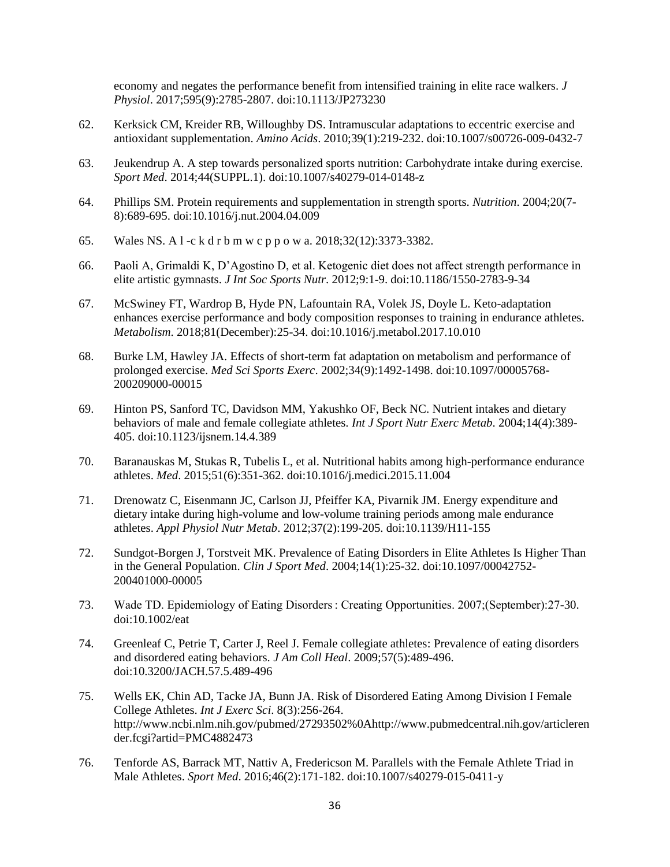economy and negates the performance benefit from intensified training in elite race walkers. *J Physiol*. 2017;595(9):2785-2807. doi:10.1113/JP273230

- 62. Kerksick CM, Kreider RB, Willoughby DS. Intramuscular adaptations to eccentric exercise and antioxidant supplementation. *Amino Acids*. 2010;39(1):219-232. doi:10.1007/s00726-009-0432-7
- 63. Jeukendrup A. A step towards personalized sports nutrition: Carbohydrate intake during exercise. *Sport Med*. 2014;44(SUPPL.1). doi:10.1007/s40279-014-0148-z
- 64. Phillips SM. Protein requirements and supplementation in strength sports. *Nutrition*. 2004;20(7- 8):689-695. doi:10.1016/j.nut.2004.04.009
- 65. Wales NS. A l -c k d r b m w c p p o w a. 2018;32(12):3373-3382.
- 66. Paoli A, Grimaldi K, D'Agostino D, et al. Ketogenic diet does not affect strength performance in elite artistic gymnasts. *J Int Soc Sports Nutr*. 2012;9:1-9. doi:10.1186/1550-2783-9-34
- 67. McSwiney FT, Wardrop B, Hyde PN, Lafountain RA, Volek JS, Doyle L. Keto-adaptation enhances exercise performance and body composition responses to training in endurance athletes. *Metabolism*. 2018;81(December):25-34. doi:10.1016/j.metabol.2017.10.010
- 68. Burke LM, Hawley JA. Effects of short-term fat adaptation on metabolism and performance of prolonged exercise. *Med Sci Sports Exerc*. 2002;34(9):1492-1498. doi:10.1097/00005768- 200209000-00015
- 69. Hinton PS, Sanford TC, Davidson MM, Yakushko OF, Beck NC. Nutrient intakes and dietary behaviors of male and female collegiate athletes. *Int J Sport Nutr Exerc Metab*. 2004;14(4):389- 405. doi:10.1123/ijsnem.14.4.389
- 70. Baranauskas M, Stukas R, Tubelis L, et al. Nutritional habits among high-performance endurance athletes. *Med*. 2015;51(6):351-362. doi:10.1016/j.medici.2015.11.004
- 71. Drenowatz C, Eisenmann JC, Carlson JJ, Pfeiffer KA, Pivarnik JM. Energy expenditure and dietary intake during high-volume and low-volume training periods among male endurance athletes. *Appl Physiol Nutr Metab*. 2012;37(2):199-205. doi:10.1139/H11-155
- 72. Sundgot-Borgen J, Torstveit MK. Prevalence of Eating Disorders in Elite Athletes Is Higher Than in the General Population. *Clin J Sport Med*. 2004;14(1):25-32. doi:10.1097/00042752- 200401000-00005
- 73. Wade TD. Epidemiology of Eating Disorders : Creating Opportunities. 2007;(September):27-30. doi:10.1002/eat
- 74. Greenleaf C, Petrie T, Carter J, Reel J. Female collegiate athletes: Prevalence of eating disorders and disordered eating behaviors. *J Am Coll Heal*. 2009;57(5):489-496. doi:10.3200/JACH.57.5.489-496
- 75. Wells EK, Chin AD, Tacke JA, Bunn JA. Risk of Disordered Eating Among Division I Female College Athletes. *Int J Exerc Sci*. 8(3):256-264. http://www.ncbi.nlm.nih.gov/pubmed/27293502%0Ahttp://www.pubmedcentral.nih.gov/articleren der.fcgi?artid=PMC4882473
- 76. Tenforde AS, Barrack MT, Nattiv A, Fredericson M. Parallels with the Female Athlete Triad in Male Athletes. *Sport Med*. 2016;46(2):171-182. doi:10.1007/s40279-015-0411-y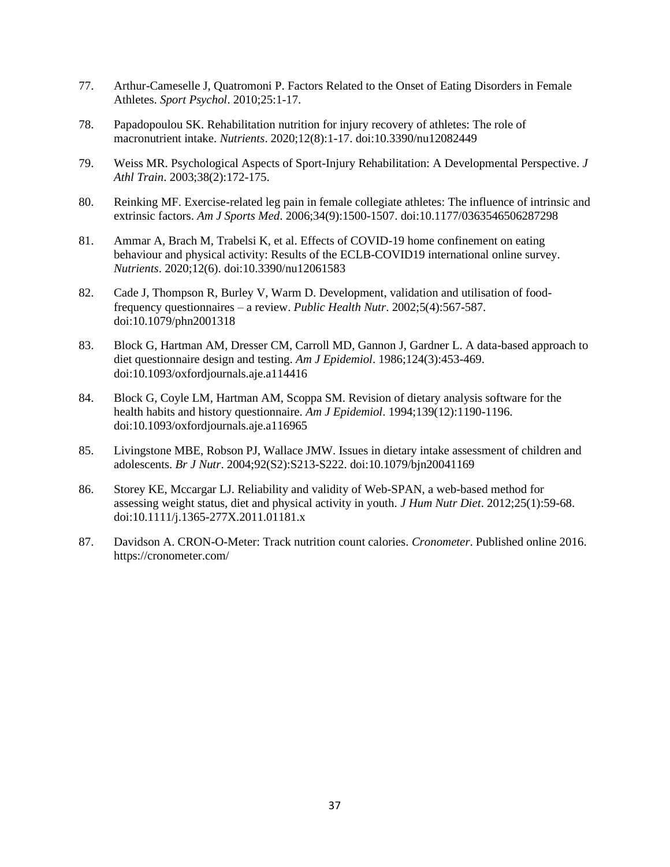- 77. Arthur-Cameselle J, Quatromoni P. Factors Related to the Onset of Eating Disorders in Female Athletes. *Sport Psychol*. 2010;25:1-17.
- 78. Papadopoulou SK. Rehabilitation nutrition for injury recovery of athletes: The role of macronutrient intake. *Nutrients*. 2020;12(8):1-17. doi:10.3390/nu12082449
- 79. Weiss MR. Psychological Aspects of Sport-Injury Rehabilitation: A Developmental Perspective. *J Athl Train*. 2003;38(2):172-175.
- 80. Reinking MF. Exercise-related leg pain in female collegiate athletes: The influence of intrinsic and extrinsic factors. *Am J Sports Med*. 2006;34(9):1500-1507. doi:10.1177/0363546506287298
- 81. Ammar A, Brach M, Trabelsi K, et al. Effects of COVID-19 home confinement on eating behaviour and physical activity: Results of the ECLB-COVID19 international online survey. *Nutrients*. 2020;12(6). doi:10.3390/nu12061583
- 82. Cade J, Thompson R, Burley V, Warm D. Development, validation and utilisation of foodfrequency questionnaires – a review. *Public Health Nutr*. 2002;5(4):567-587. doi:10.1079/phn2001318
- 83. Block G, Hartman AM, Dresser CM, Carroll MD, Gannon J, Gardner L. A data-based approach to diet questionnaire design and testing. *Am J Epidemiol*. 1986;124(3):453-469. doi:10.1093/oxfordjournals.aje.a114416
- 84. Block G, Coyle LM, Hartman AM, Scoppa SM. Revision of dietary analysis software for the health habits and history questionnaire. *Am J Epidemiol*. 1994;139(12):1190-1196. doi:10.1093/oxfordjournals.aje.a116965
- 85. Livingstone MBE, Robson PJ, Wallace JMW. Issues in dietary intake assessment of children and adolescents. *Br J Nutr*. 2004;92(S2):S213-S222. doi:10.1079/bjn20041169
- 86. Storey KE, Mccargar LJ. Reliability and validity of Web-SPAN, a web-based method for assessing weight status, diet and physical activity in youth. *J Hum Nutr Diet*. 2012;25(1):59-68. doi:10.1111/j.1365-277X.2011.01181.x
- 87. Davidson A. CRON-O-Meter: Track nutrition count calories. *Cronometer*. Published online 2016. https://cronometer.com/